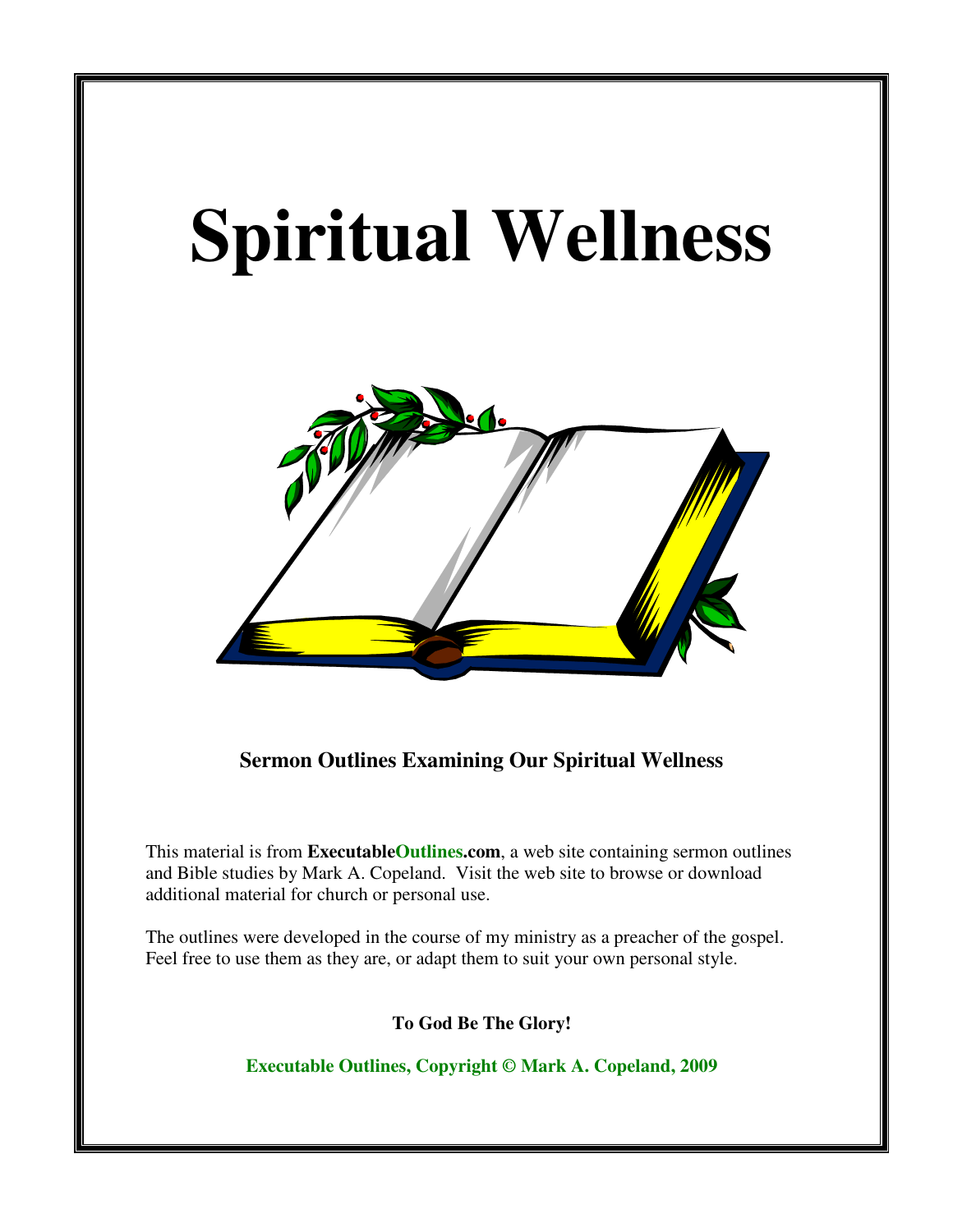# **Spiritual Wellness**



**Sermon Outlines Examining Our Spiritual Wellness** 

This material is from **ExecutableOutlines.com**, a web site containing sermon outlines and Bible studies by Mark A. Copeland. Visit the web site to browse or download additional material for church or personal use.

The outlines were developed in the course of my ministry as a preacher of the gospel. Feel free to use them as they are, or adapt them to suit your own personal style.

**To God Be The Glory!** 

**Executable Outlines, Copyright © Mark A. Copeland, 2009**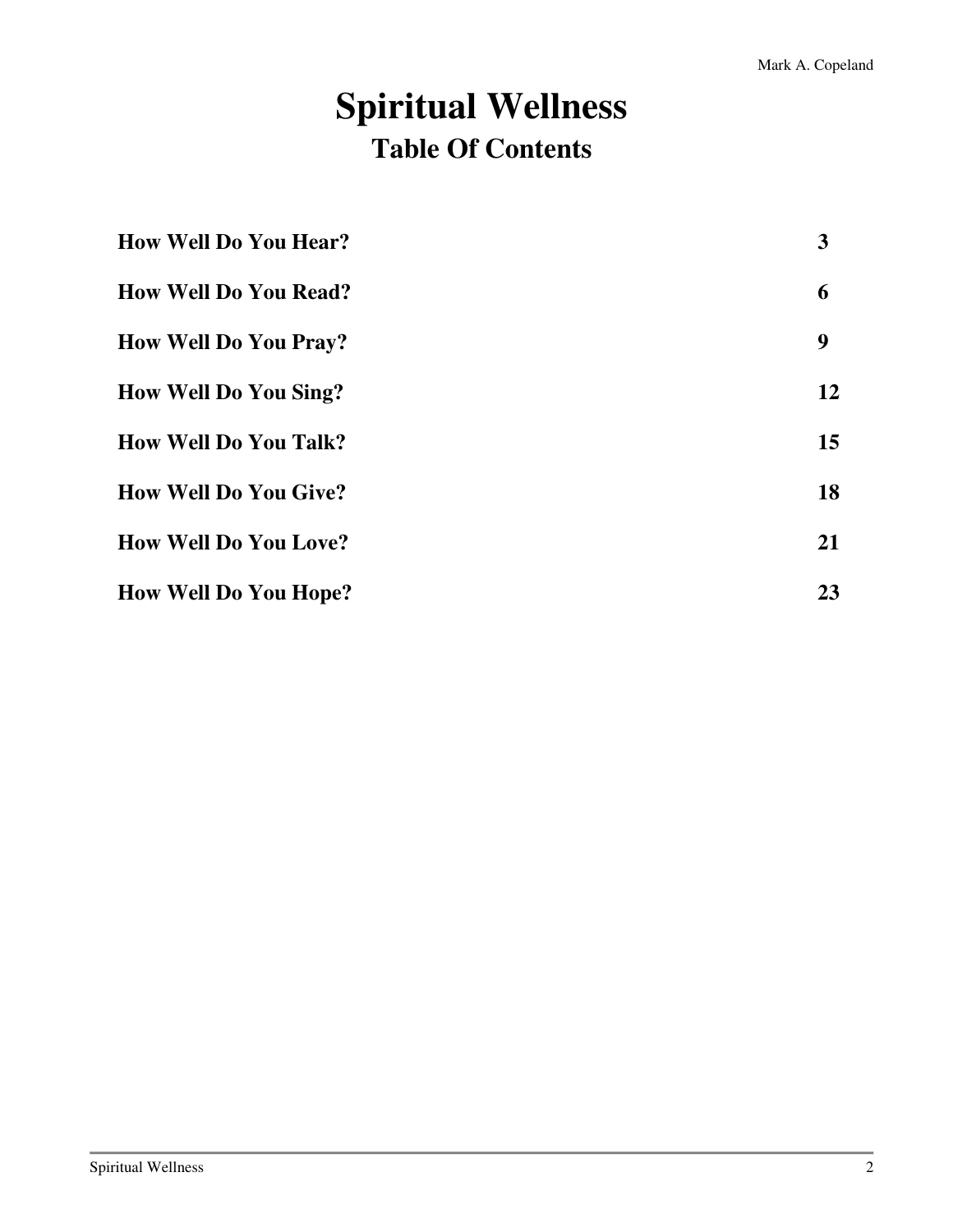# **Spiritual Wellness Table Of Contents**

| <b>How Well Do You Hear?</b> | 3         |
|------------------------------|-----------|
| <b>How Well Do You Read?</b> | 6         |
| <b>How Well Do You Pray?</b> | 9         |
| <b>How Well Do You Sing?</b> | 12        |
| <b>How Well Do You Talk?</b> | 15        |
| <b>How Well Do You Give?</b> | 18        |
| <b>How Well Do You Love?</b> | <b>21</b> |
| <b>How Well Do You Hope?</b> | 23        |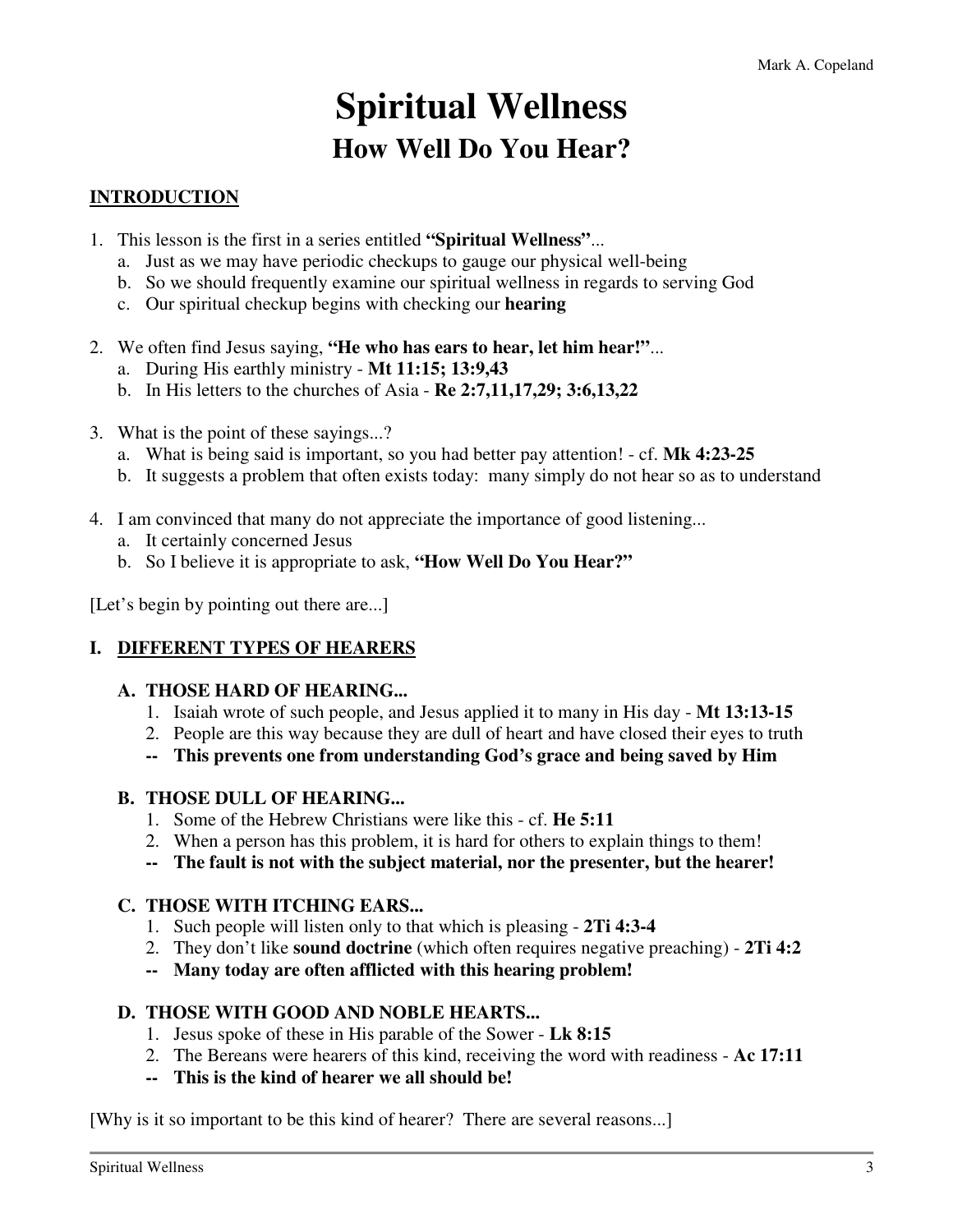# **Spiritual Wellness How Well Do You Hear?**

# **INTRODUCTION**

- 1. This lesson is the first in a series entitled **"Spiritual Wellness"**...
	- a. Just as we may have periodic checkups to gauge our physical well-being
	- b. So we should frequently examine our spiritual wellness in regards to serving God
	- c. Our spiritual checkup begins with checking our **hearing**
- 2. We often find Jesus saying, **"He who has ears to hear, let him hear!"**...
	- a. During His earthly ministry **Mt 11:15; 13:9,43**
	- b. In His letters to the churches of Asia **Re 2:7,11,17,29; 3:6,13,22**
- 3. What is the point of these sayings...?
	- a. What is being said is important, so you had better pay attention! cf. **Mk 4:23-25**
	- b. It suggests a problem that often exists today: many simply do not hear so as to understand
- 4. I am convinced that many do not appreciate the importance of good listening...
	- a. It certainly concerned Jesus
	- b. So I believe it is appropriate to ask, **"How Well Do You Hear?"**

[Let's begin by pointing out there are...]

#### **I. DIFFERENT TYPES OF HEARERS**

#### **A. THOSE HARD OF HEARING...**

- 1. Isaiah wrote of such people, and Jesus applied it to many in His day **Mt 13:13-15**
- 2. People are this way because they are dull of heart and have closed their eyes to truth
- **-- This prevents one from understanding God's grace and being saved by Him**

#### **B. THOSE DULL OF HEARING...**

- 1. Some of the Hebrew Christians were like this cf. **He 5:11**
- 2. When a person has this problem, it is hard for others to explain things to them!
- **-- The fault is not with the subject material, nor the presenter, but the hearer!**

#### **C. THOSE WITH ITCHING EARS...**

- 1. Such people will listen only to that which is pleasing **2Ti 4:3-4**
- 2. They don't like **sound doctrine** (which often requires negative preaching) **2Ti 4:2**
- **-- Many today are often afflicted with this hearing problem!**

#### **D. THOSE WITH GOOD AND NOBLE HEARTS...**

- 1. Jesus spoke of these in His parable of the Sower **Lk 8:15**
- 2. The Bereans were hearers of this kind, receiving the word with readiness **Ac 17:11**
- **-- This is the kind of hearer we all should be!**

[Why is it so important to be this kind of hearer? There are several reasons...]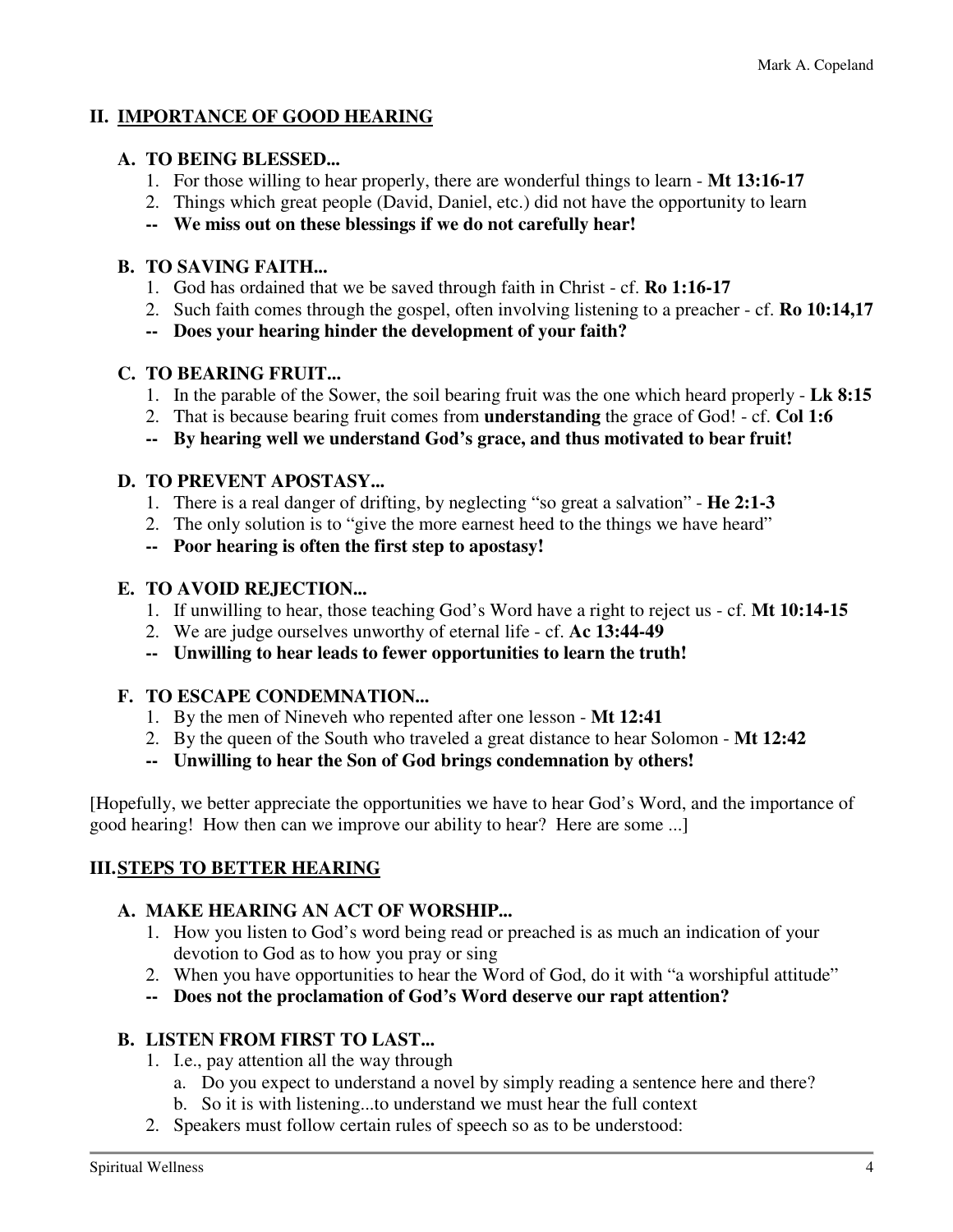# **II. IMPORTANCE OF GOOD HEARING**

#### **A. TO BEING BLESSED...**

- 1. For those willing to hear properly, there are wonderful things to learn **Mt 13:16-17**
- 2. Things which great people (David, Daniel, etc.) did not have the opportunity to learn
- **-- We miss out on these blessings if we do not carefully hear!**

### **B. TO SAVING FAITH...**

- 1. God has ordained that we be saved through faith in Christ cf. **Ro 1:16-17**
- 2. Such faith comes through the gospel, often involving listening to a preacher cf. **Ro 10:14,17**
- **-- Does your hearing hinder the development of your faith?**

# **C. TO BEARING FRUIT...**

- 1. In the parable of the Sower, the soil bearing fruit was the one which heard properly **Lk 8:15**
- 2. That is because bearing fruit comes from **understanding** the grace of God! cf. **Col 1:6**
- **-- By hearing well we understand God's grace, and thus motivated to bear fruit!**

### **D. TO PREVENT APOSTASY...**

- 1. There is a real danger of drifting, by neglecting "so great a salvation" **He 2:1-3**
- 2. The only solution is to "give the more earnest heed to the things we have heard"
- **-- Poor hearing is often the first step to apostasy!**

# **E. TO AVOID REJECTION...**

- 1. If unwilling to hear, those teaching God's Word have a right to reject us cf. **Mt 10:14-15**
- 2. We are judge ourselves unworthy of eternal life cf. **Ac 13:44-49**
- **-- Unwilling to hear leads to fewer opportunities to learn the truth!**

# **F. TO ESCAPE CONDEMNATION...**

- 1. By the men of Nineveh who repented after one lesson **Mt 12:41**
- 2. By the queen of the South who traveled a great distance to hear Solomon **Mt 12:42**
- **-- Unwilling to hear the Son of God brings condemnation by others!**

[Hopefully, we better appreciate the opportunities we have to hear God's Word, and the importance of good hearing! How then can we improve our ability to hear? Here are some ...]

# **III. STEPS TO BETTER HEARING**

# **A. MAKE HEARING AN ACT OF WORSHIP...**

- 1. How you listen to God's word being read or preached is as much an indication of your devotion to God as to how you pray or sing
- 2. When you have opportunities to hear the Word of God, do it with "a worshipful attitude"
- **-- Does not the proclamation of God's Word deserve our rapt attention?**

# **B. LISTEN FROM FIRST TO LAST...**

- 1. I.e., pay attention all the way through
	- a. Do you expect to understand a novel by simply reading a sentence here and there?
	- b. So it is with listening...to understand we must hear the full context
- 2. Speakers must follow certain rules of speech so as to be understood: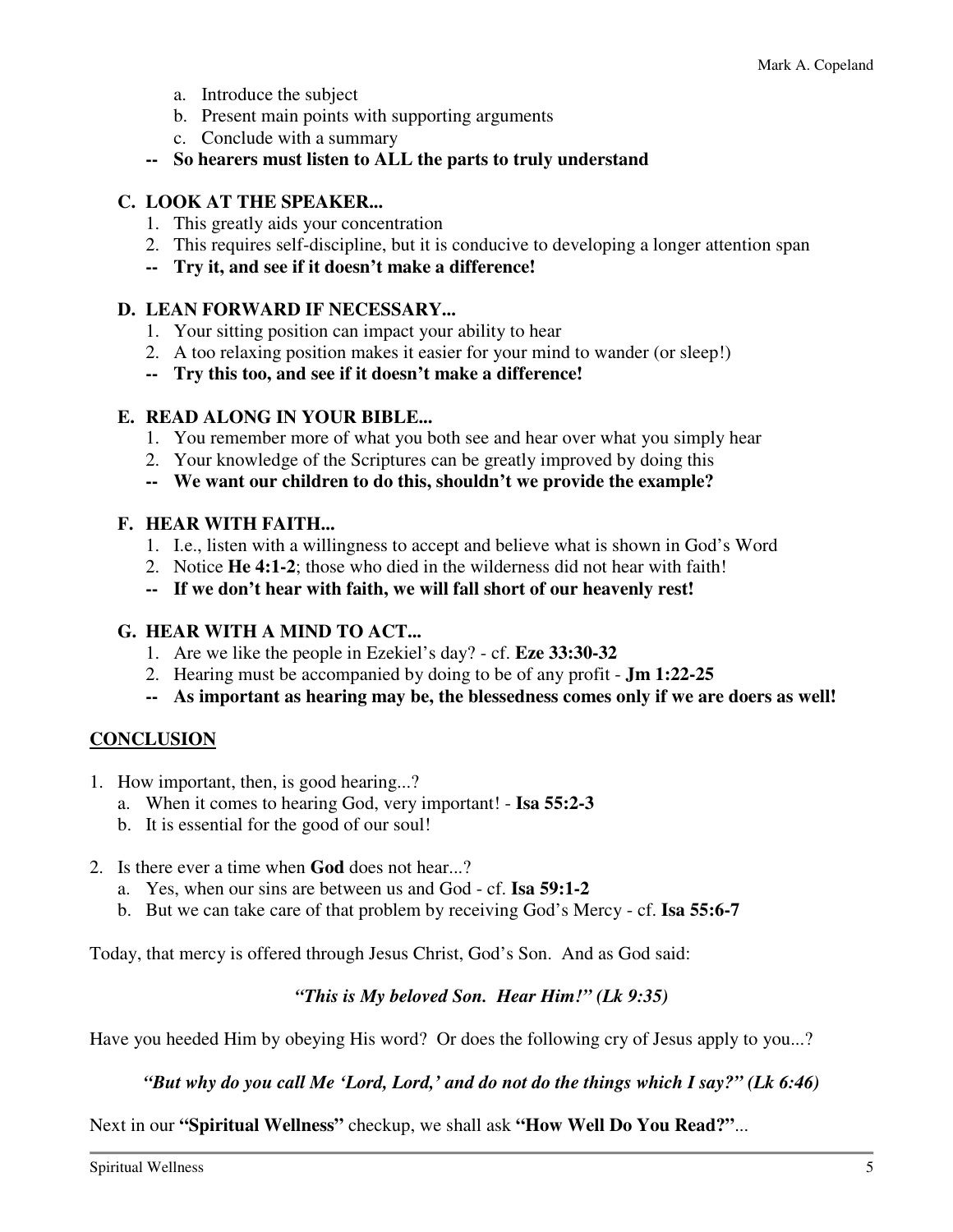- a. Introduce the subject
- b. Present main points with supporting arguments
- c. Conclude with a summary
- **-- So hearers must listen to ALL the parts to truly understand**

#### **C. LOOK AT THE SPEAKER...**

- 1. This greatly aids your concentration
- 2. This requires self-discipline, but it is conducive to developing a longer attention span
- **-- Try it, and see if it doesn't make a difference!**

#### **D. LEAN FORWARD IF NECESSARY...**

- 1. Your sitting position can impact your ability to hear
- 2. A too relaxing position makes it easier for your mind to wander (or sleep!)
- **-- Try this too, and see if it doesn't make a difference!**

#### **E. READ ALONG IN YOUR BIBLE...**

- 1. You remember more of what you both see and hear over what you simply hear
- 2. Your knowledge of the Scriptures can be greatly improved by doing this
- **-- We want our children to do this, shouldn't we provide the example?**

#### **F. HEAR WITH FAITH...**

- 1. I.e., listen with a willingness to accept and believe what is shown in God's Word
- 2. Notice **He 4:1-2**; those who died in the wilderness did not hear with faith!
- **-- If we don't hear with faith, we will fall short of our heavenly rest!**

#### **G. HEAR WITH A MIND TO ACT...**

- 1. Are we like the people in Ezekiel's day? cf. **Eze 33:30-32**
- 2. Hearing must be accompanied by doing to be of any profit **Jm 1:22-25**
- **-- As important as hearing may be, the blessedness comes only if we are doers as well!**

#### **CONCLUSION**

- 1. How important, then, is good hearing...?
	- a. When it comes to hearing God, very important! **Isa 55:2-3**
	- b. It is essential for the good of our soul!
- 2. Is there ever a time when **God** does not hear...?
	- a. Yes, when our sins are between us and God cf. **Isa 59:1-2**
	- b. But we can take care of that problem by receiving God's Mercy cf. **Isa 55:6-7**

Today, that mercy is offered through Jesus Christ, God's Son. And as God said:

#### *"This is My beloved Son. Hear Him!" (Lk 9:35)*

Have you heeded Him by obeying His word? Or does the following cry of Jesus apply to you...?

#### *"But why do you call Me 'Lord, Lord,' and do not do the things which I say?" (Lk 6:46)*

Next in our **"Spiritual Wellness"** checkup, we shall ask **"How Well Do You Read?"**...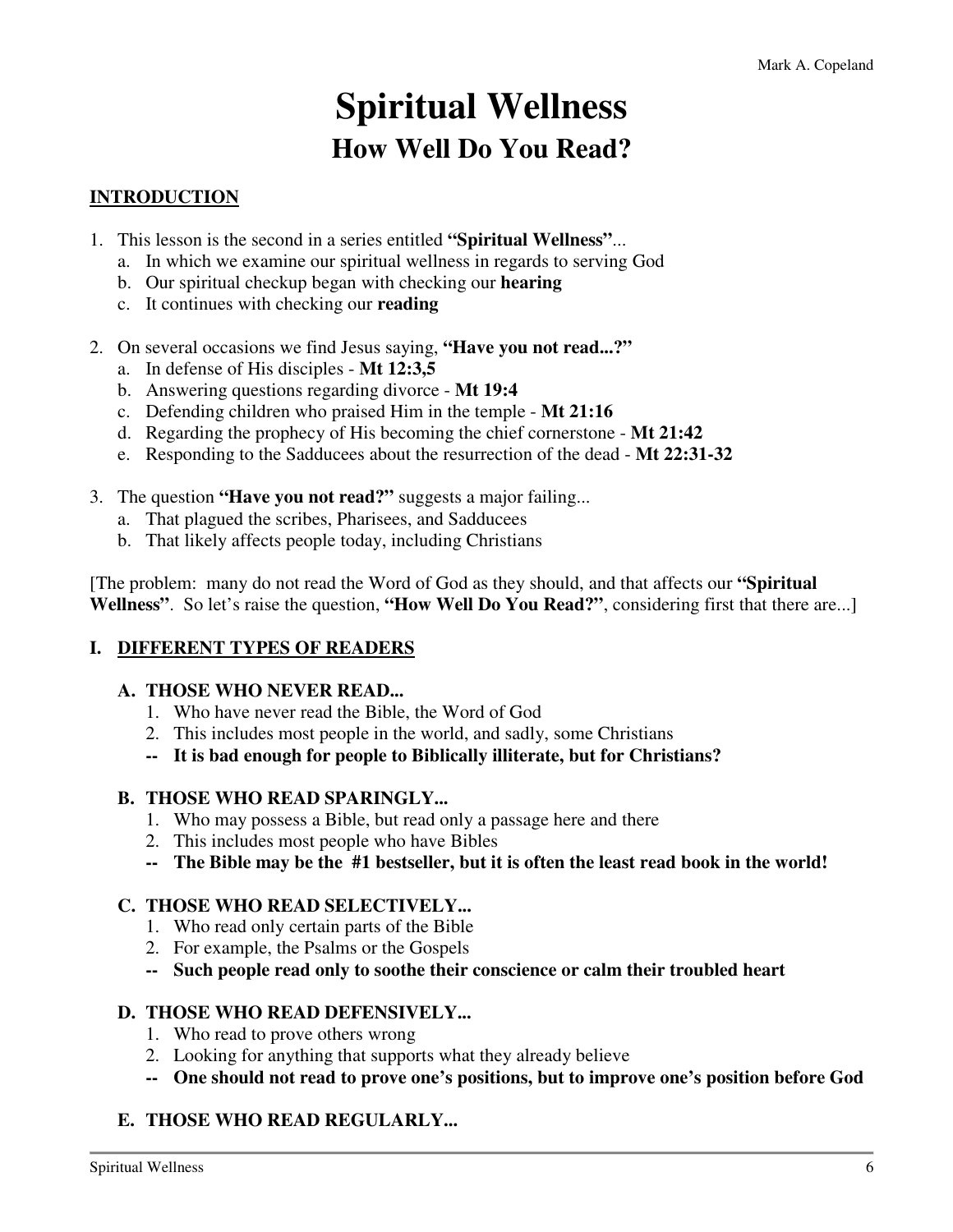# **Spiritual Wellness How Well Do You Read?**

# **INTRODUCTION**

- 1. This lesson is the second in a series entitled **"Spiritual Wellness"**...
	- a. In which we examine our spiritual wellness in regards to serving God
	- b. Our spiritual checkup began with checking our **hearing**
	- c. It continues with checking our **reading**
- 2. On several occasions we find Jesus saying, **"Have you not read...?"** 
	- a. In defense of His disciples **Mt 12:3,5**
	- b. Answering questions regarding divorce **Mt 19:4**
	- c. Defending children who praised Him in the temple **Mt 21:16**
	- d. Regarding the prophecy of His becoming the chief cornerstone **Mt 21:42**
	- e. Responding to the Sadducees about the resurrection of the dead **Mt 22:31-32**
- 3. The question **"Have you not read?"** suggests a major failing...
	- a. That plagued the scribes, Pharisees, and Sadducees
	- b. That likely affects people today, including Christians

[The problem: many do not read the Word of God as they should, and that affects our **"Spiritual Wellness"**. So let's raise the question, **"How Well Do You Read?"**, considering first that there are...]

#### **I. DIFFERENT TYPES OF READERS**

#### **A. THOSE WHO NEVER READ...**

- 1. Who have never read the Bible, the Word of God
- 2. This includes most people in the world, and sadly, some Christians
- **-- It is bad enough for people to Biblically illiterate, but for Christians?**

#### **B. THOSE WHO READ SPARINGLY...**

- 1. Who may possess a Bible, but read only a passage here and there
- 2. This includes most people who have Bibles
- **-- The Bible may be the #1 bestseller, but it is often the least read book in the world!**

#### **C. THOSE WHO READ SELECTIVELY...**

- 1. Who read only certain parts of the Bible
- 2. For example, the Psalms or the Gospels
- **-- Such people read only to soothe their conscience or calm their troubled heart**

#### **D. THOSE WHO READ DEFENSIVELY...**

- 1. Who read to prove others wrong
- 2. Looking for anything that supports what they already believe
- **-- One should not read to prove one's positions, but to improve one's position before God**

#### **E. THOSE WHO READ REGULARLY...**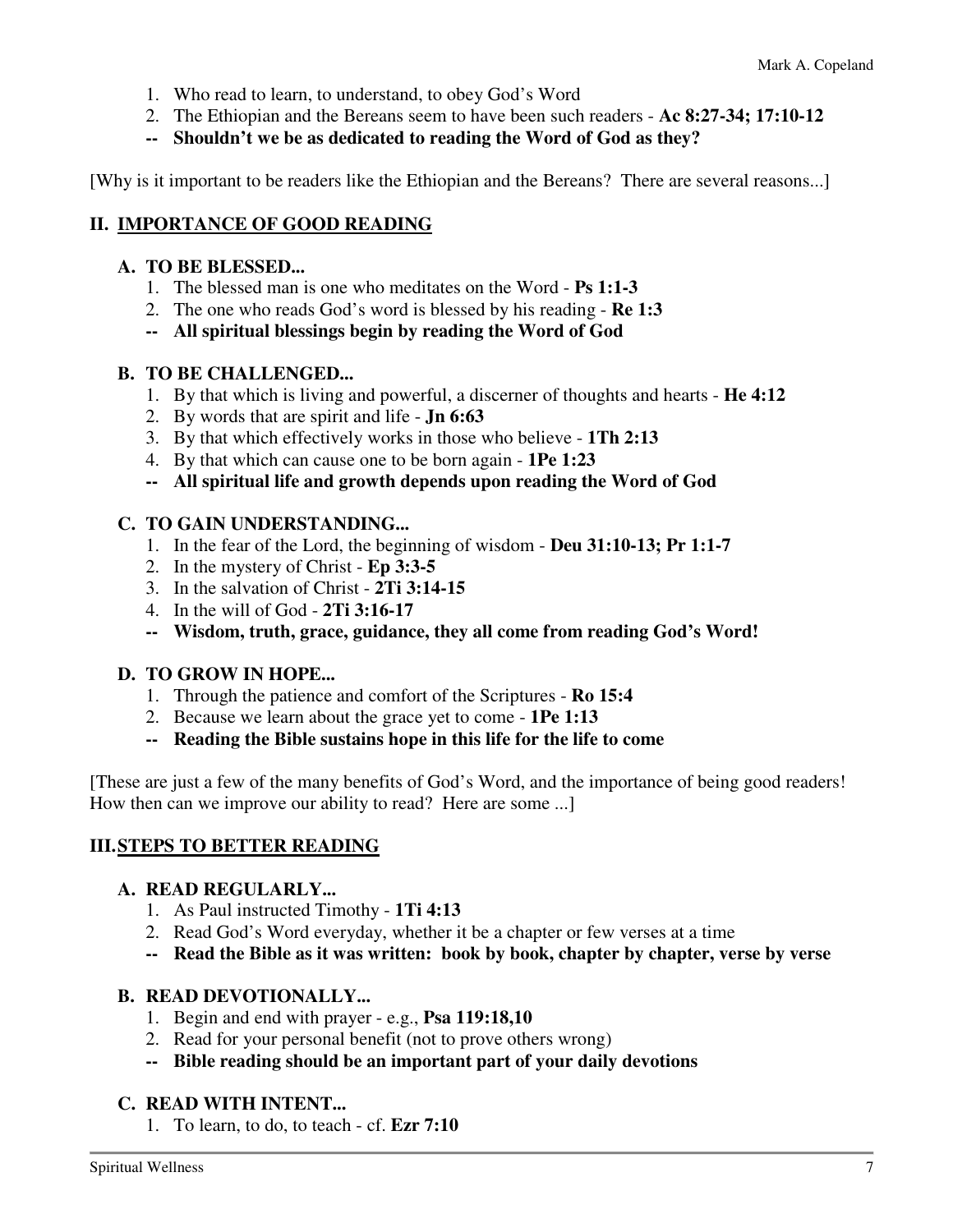- 1. Who read to learn, to understand, to obey God's Word
- 2. The Ethiopian and the Bereans seem to have been such readers **Ac 8:27-34; 17:10-12**
- **-- Shouldn't we be as dedicated to reading the Word of God as they?**

[Why is it important to be readers like the Ethiopian and the Bereans? There are several reasons...]

### **II. IMPORTANCE OF GOOD READING**

#### **A. TO BE BLESSED...**

- 1. The blessed man is one who meditates on the Word **Ps 1:1-3**
- 2. The one who reads God's word is blessed by his reading **Re 1:3**
- **-- All spiritual blessings begin by reading the Word of God**

#### **B. TO BE CHALLENGED...**

- 1. By that which is living and powerful, a discerner of thoughts and hearts **He 4:12**
- 2. By words that are spirit and life **Jn 6:63**
- 3. By that which effectively works in those who believe **1Th 2:13**
- 4. By that which can cause one to be born again **1Pe 1:23**
- **-- All spiritual life and growth depends upon reading the Word of God**

#### **C. TO GAIN UNDERSTANDING...**

- 1. In the fear of the Lord, the beginning of wisdom **Deu 31:10-13; Pr 1:1-7**
- 2. In the mystery of Christ **Ep 3:3-5**
- 3. In the salvation of Christ **2Ti 3:14-15**
- 4. In the will of God **2Ti 3:16-17**
- **-- Wisdom, truth, grace, guidance, they all come from reading God's Word!**

#### **D. TO GROW IN HOPE...**

- 1. Through the patience and comfort of the Scriptures **Ro 15:4**
- 2. Because we learn about the grace yet to come **1Pe 1:13**
- **-- Reading the Bible sustains hope in this life for the life to come**

[These are just a few of the many benefits of God's Word, and the importance of being good readers! How then can we improve our ability to read? Here are some ...]

#### **III. STEPS TO BETTER READING**

#### **A. READ REGULARLY...**

- 1. As Paul instructed Timothy **1Ti 4:13**
- 2. Read God's Word everyday, whether it be a chapter or few verses at a time
- **-- Read the Bible as it was written: book by book, chapter by chapter, verse by verse**

#### **B. READ DEVOTIONALLY...**

- 1. Begin and end with prayer e.g., **Psa 119:18,10**
- 2. Read for your personal benefit (not to prove others wrong)
- **-- Bible reading should be an important part of your daily devotions**

#### **C. READ WITH INTENT...**

1. To learn, to do, to teach - cf. **Ezr 7:10**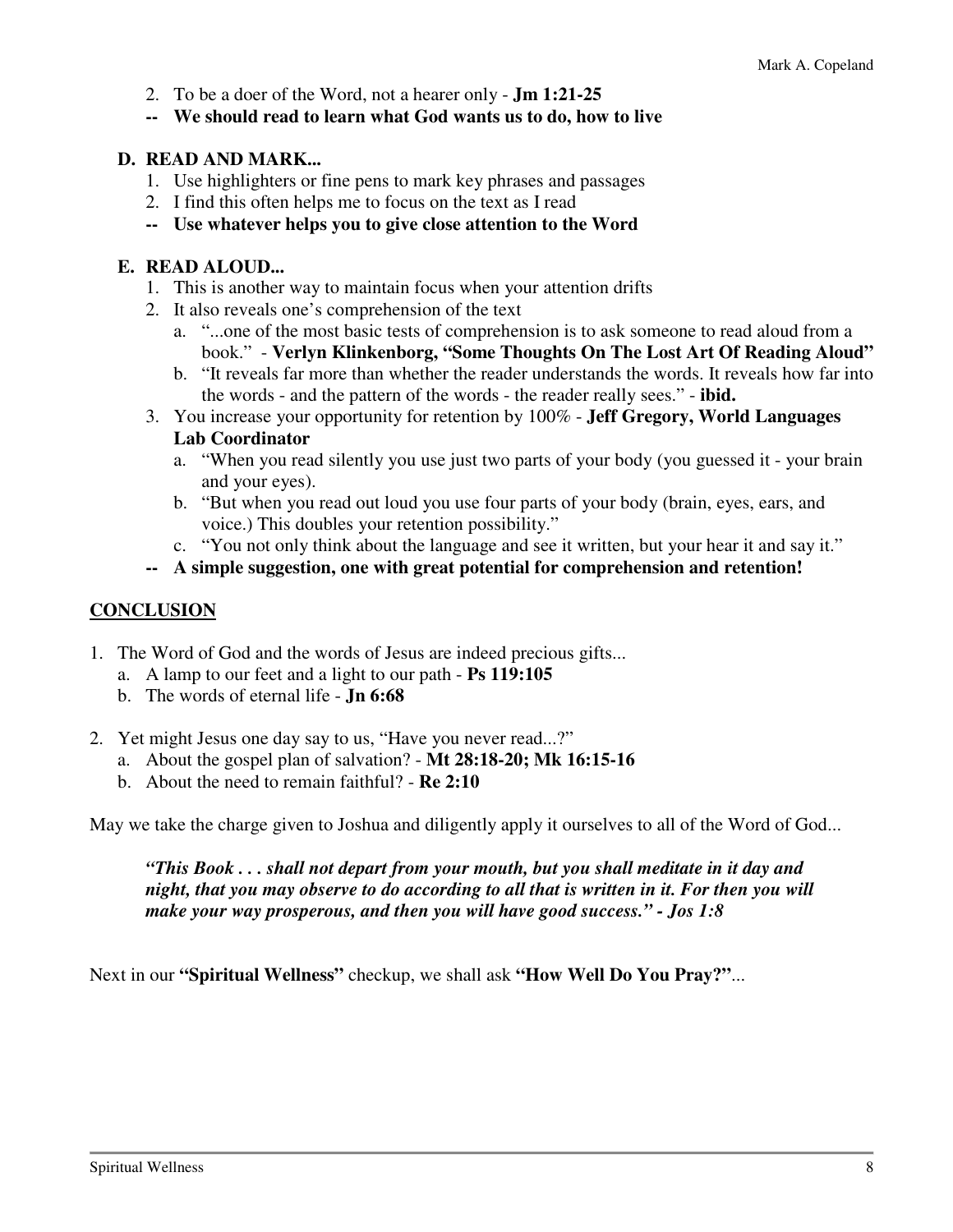- 2. To be a doer of the Word, not a hearer only **Jm 1:21-25**
- **-- We should read to learn what God wants us to do, how to live**

#### **D. READ AND MARK...**

- 1. Use highlighters or fine pens to mark key phrases and passages
- 2. I find this often helps me to focus on the text as I read
- **-- Use whatever helps you to give close attention to the Word**

#### **E. READ ALOUD...**

- 1. This is another way to maintain focus when your attention drifts
- 2. It also reveals one's comprehension of the text
	- a. "...one of the most basic tests of comprehension is to ask someone to read aloud from a book." - **Verlyn Klinkenborg, "Some Thoughts On The Lost Art Of Reading Aloud"**
	- b. "It reveals far more than whether the reader understands the words. It reveals how far into the words - and the pattern of the words - the reader really sees." - **ibid.**
- 3. You increase your opportunity for retention by 100% **Jeff Gregory, World Languages Lab Coordinator** 
	- a. "When you read silently you use just two parts of your body (you guessed it your brain and your eyes).
	- b. "But when you read out loud you use four parts of your body (brain, eyes, ears, and voice.) This doubles your retention possibility."
	- c. "You not only think about the language and see it written, but your hear it and say it."
- **-- A simple suggestion, one with great potential for comprehension and retention!**

#### **CONCLUSION**

- 1. The Word of God and the words of Jesus are indeed precious gifts...
	- a. A lamp to our feet and a light to our path **Ps 119:105**
	- b. The words of eternal life **Jn 6:68**
- 2. Yet might Jesus one day say to us, "Have you never read...?"
	- a. About the gospel plan of salvation? **Mt 28:18-20; Mk 16:15-16**
	- b. About the need to remain faithful? **Re 2:10**

May we take the charge given to Joshua and diligently apply it ourselves to all of the Word of God...

*"This Book . . . shall not depart from your mouth, but you shall meditate in it day and night, that you may observe to do according to all that is written in it. For then you will make your way prosperous, and then you will have good success." - Jos 1:8* 

Next in our **"Spiritual Wellness"** checkup, we shall ask **"How Well Do You Pray?"**...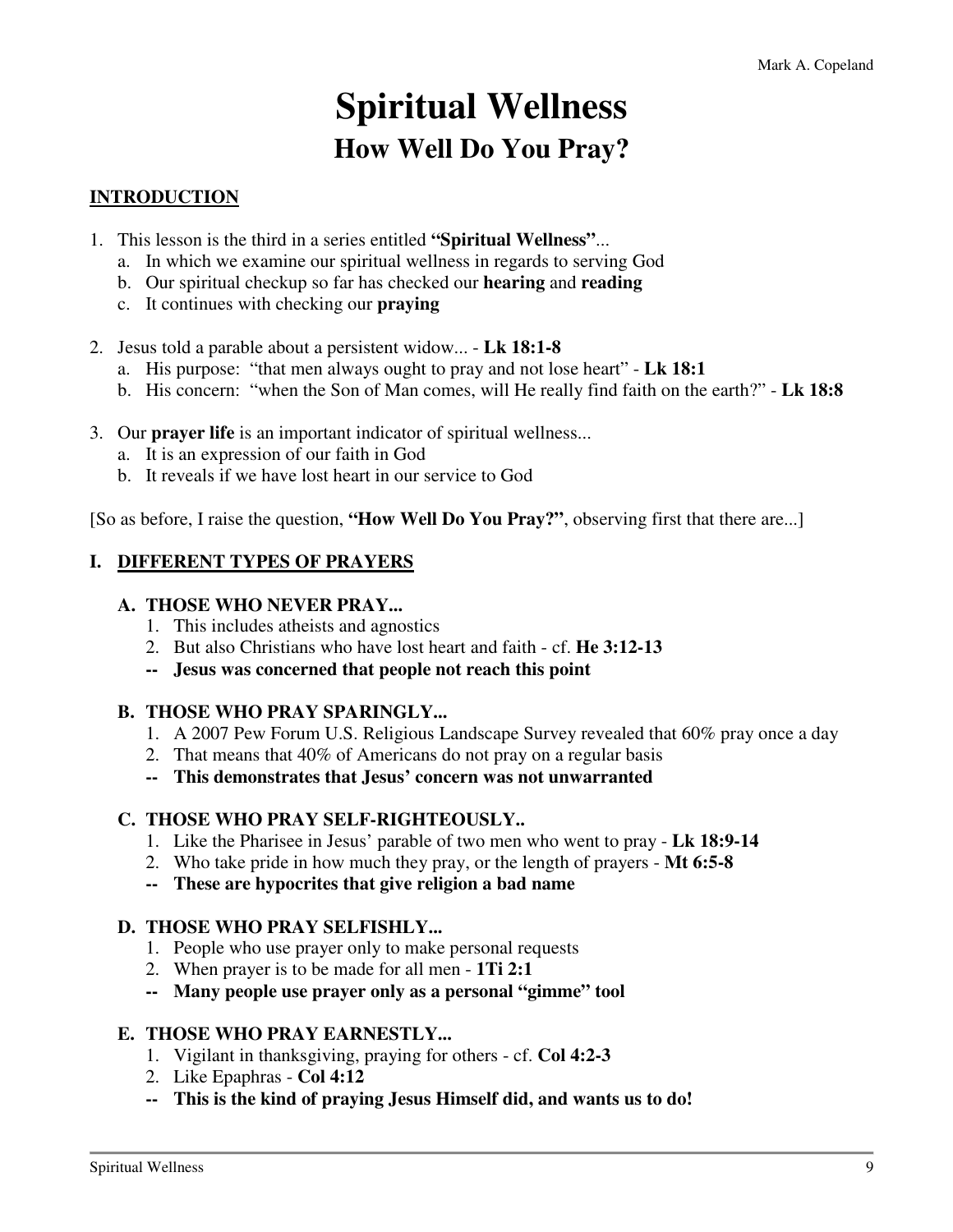# **Spiritual Wellness How Well Do You Pray?**

# **INTRODUCTION**

- 1. This lesson is the third in a series entitled **"Spiritual Wellness"**...
	- a. In which we examine our spiritual wellness in regards to serving God
	- b. Our spiritual checkup so far has checked our **hearing** and **reading**
	- c. It continues with checking our **praying**
- 2. Jesus told a parable about a persistent widow... **Lk 18:1-8**
	- a. His purpose: "that men always ought to pray and not lose heart" **Lk 18:1**
	- b. His concern: "when the Son of Man comes, will He really find faith on the earth?" **Lk 18:8**
- 3. Our **prayer life** is an important indicator of spiritual wellness...
	- a. It is an expression of our faith in God
	- b. It reveals if we have lost heart in our service to God

[So as before, I raise the question, **"How Well Do You Pray?"**, observing first that there are...]

#### **I. DIFFERENT TYPES OF PRAYERS**

#### **A. THOSE WHO NEVER PRAY...**

- 1. This includes atheists and agnostics
- 2. But also Christians who have lost heart and faith cf. **He 3:12-13**
- **-- Jesus was concerned that people not reach this point**

#### **B. THOSE WHO PRAY SPARINGLY...**

- 1. A 2007 Pew Forum U.S. Religious Landscape Survey revealed that 60% pray once a day
- 2. That means that 40% of Americans do not pray on a regular basis
- **-- This demonstrates that Jesus' concern was not unwarranted**

#### **C. THOSE WHO PRAY SELF-RIGHTEOUSLY..**

- 1. Like the Pharisee in Jesus' parable of two men who went to pray **Lk 18:9-14**
- 2. Who take pride in how much they pray, or the length of prayers **Mt 6:5-8**
- **-- These are hypocrites that give religion a bad name**

#### **D. THOSE WHO PRAY SELFISHLY...**

- 1. People who use prayer only to make personal requests
- 2. When prayer is to be made for all men **1Ti 2:1**
- **-- Many people use prayer only as a personal "gimme" tool**

#### **E. THOSE WHO PRAY EARNESTLY...**

- 1. Vigilant in thanksgiving, praying for others cf. **Col 4:2-3**
- 2. Like Epaphras **Col 4:12**
- **-- This is the kind of praying Jesus Himself did, and wants us to do!**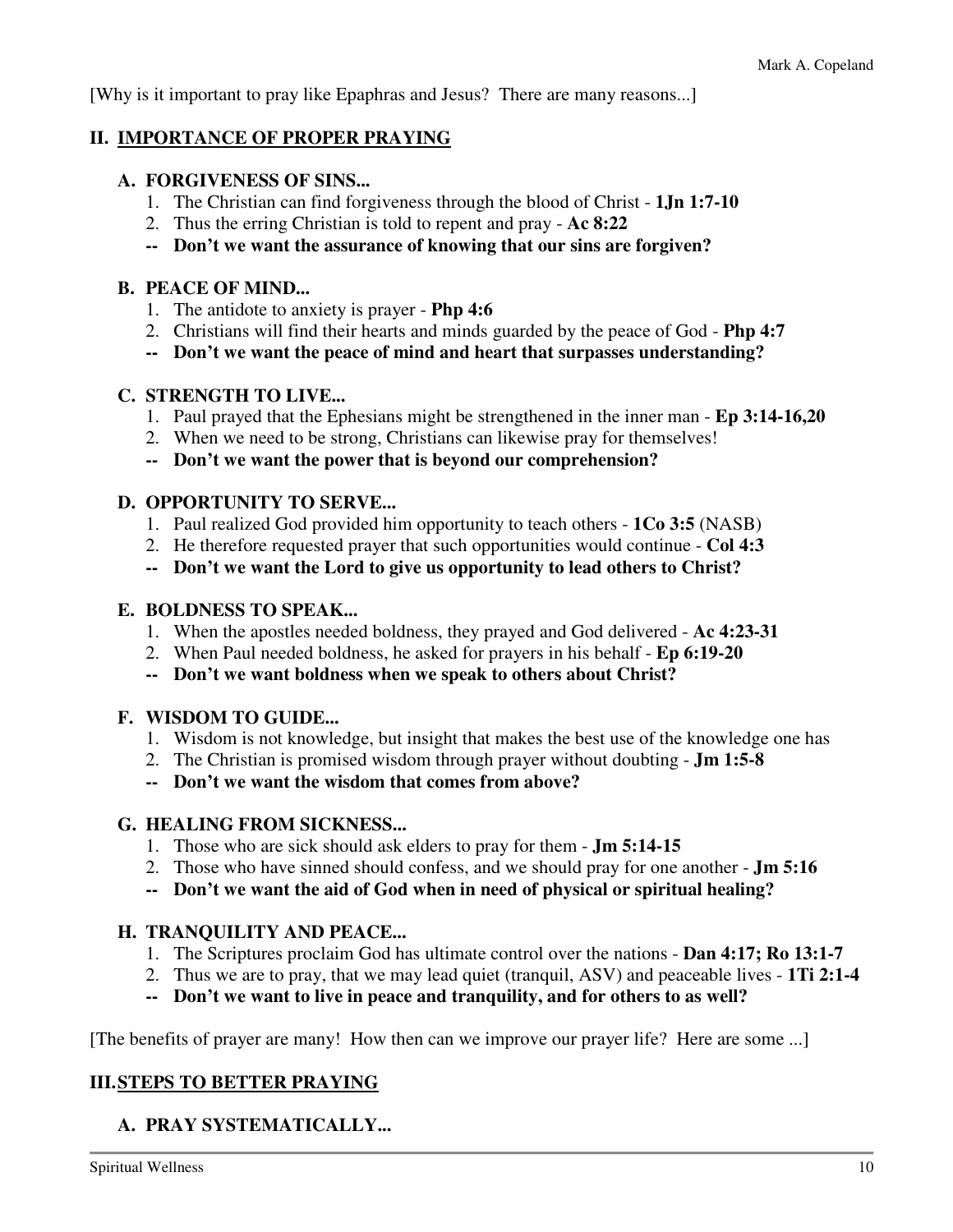[Why is it important to pray like Epaphras and Jesus? There are many reasons...]

#### **II. IMPORTANCE OF PROPER PRAYING**

#### **A. FORGIVENESS OF SINS...**

- 1. The Christian can find forgiveness through the blood of Christ **1Jn 1:7-10**
- 2. Thus the erring Christian is told to repent and pray **Ac 8:22**
- **-- Don't we want the assurance of knowing that our sins are forgiven?**

### **B. PEACE OF MIND...**

- 1. The antidote to anxiety is prayer **Php 4:6**
- 2. Christians will find their hearts and minds guarded by the peace of God **Php 4:7**
- **-- Don't we want the peace of mind and heart that surpasses understanding?**

# **C. STRENGTH TO LIVE...**

- 1. Paul prayed that the Ephesians might be strengthened in the inner man **Ep 3:14-16,20**
- 2. When we need to be strong, Christians can likewise pray for themselves!
- **-- Don't we want the power that is beyond our comprehension?**

# **D. OPPORTUNITY TO SERVE...**

- 1. Paul realized God provided him opportunity to teach others **1Co 3:5** (NASB)
- 2. He therefore requested prayer that such opportunities would continue **Col 4:3**
- **-- Don't we want the Lord to give us opportunity to lead others to Christ?**

### **E. BOLDNESS TO SPEAK...**

- 1. When the apostles needed boldness, they prayed and God delivered **Ac 4:23-31**
- 2. When Paul needed boldness, he asked for prayers in his behalf **Ep 6:19-20**
- **-- Don't we want boldness when we speak to others about Christ?**

# **F. WISDOM TO GUIDE...**

- 1. Wisdom is not knowledge, but insight that makes the best use of the knowledge one has
- 2. The Christian is promised wisdom through prayer without doubting **Jm 1:5-8**
- **-- Don't we want the wisdom that comes from above?**

# **G. HEALING FROM SICKNESS...**

- 1. Those who are sick should ask elders to pray for them **Jm 5:14-15**
- 2. Those who have sinned should confess, and we should pray for one another **Jm 5:16**
- **-- Don't we want the aid of God when in need of physical or spiritual healing?**

# **H. TRANQUILITY AND PEACE...**

- 1. The Scriptures proclaim God has ultimate control over the nations **Dan 4:17; Ro 13:1-7**
- 2. Thus we are to pray, that we may lead quiet (tranquil, ASV) and peaceable lives **1Ti 2:1-4**
- **-- Don't we want to live in peace and tranquility, and for others to as well?**

[The benefits of prayer are many! How then can we improve our prayer life? Here are some ...]

# **III. STEPS TO BETTER PRAYING**

# **A. PRAY SYSTEMATICALLY...**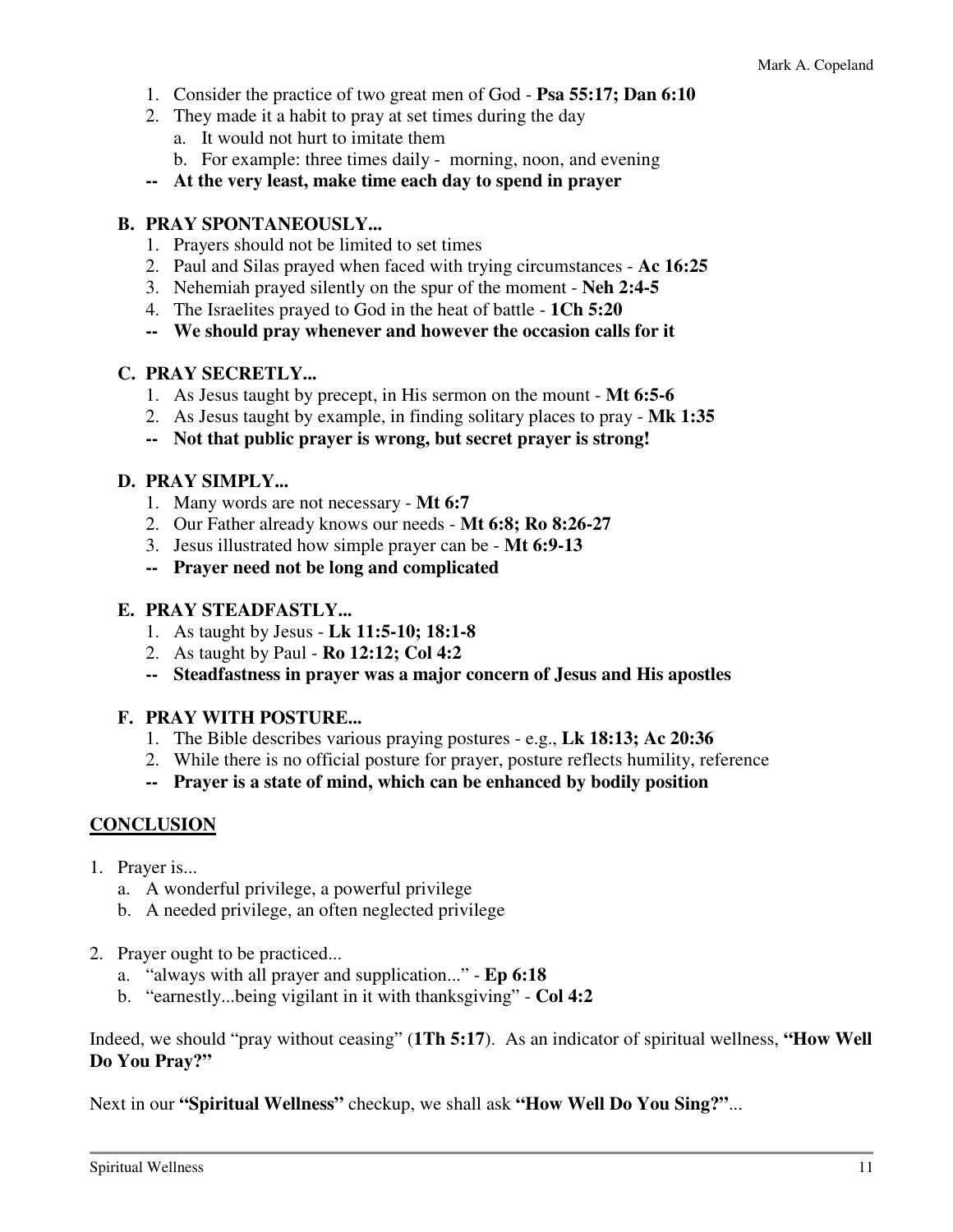- 1. Consider the practice of two great men of God **Psa 55:17; Dan 6:10**
- 2. They made it a habit to pray at set times during the day
	- a. It would not hurt to imitate them
	- b. For example: three times daily morning, noon, and evening
- **-- At the very least, make time each day to spend in prayer**

#### **B. PRAY SPONTANEOUSLY...**

- 1. Prayers should not be limited to set times
- 2. Paul and Silas prayed when faced with trying circumstances **Ac 16:25**
- 3. Nehemiah prayed silently on the spur of the moment **Neh 2:4-5**
- 4. The Israelites prayed to God in the heat of battle **1Ch 5:20**
- **-- We should pray whenever and however the occasion calls for it**

#### **C. PRAY SECRETLY...**

- 1. As Jesus taught by precept, in His sermon on the mount **Mt 6:5-6**
- 2. As Jesus taught by example, in finding solitary places to pray **Mk 1:35**
- **-- Not that public prayer is wrong, but secret prayer is strong!**

#### **D. PRAY SIMPLY...**

- 1. Many words are not necessary **Mt 6:7**
- 2. Our Father already knows our needs **Mt 6:8; Ro 8:26-27**
- 3. Jesus illustrated how simple prayer can be **Mt 6:9-13**
- **-- Prayer need not be long and complicated**

#### **E. PRAY STEADFASTLY...**

- 1. As taught by Jesus **Lk 11:5-10; 18:1-8**
- 2. As taught by Paul **Ro 12:12; Col 4:2**
- **-- Steadfastness in prayer was a major concern of Jesus and His apostles**

#### **F. PRAY WITH POSTURE...**

- 1. The Bible describes various praying postures e.g., **Lk 18:13; Ac 20:36**
- 2. While there is no official posture for prayer, posture reflects humility, reference
- **-- Prayer is a state of mind, which can be enhanced by bodily position**

#### **CONCLUSION**

- 1. Prayer is...
	- a. A wonderful privilege, a powerful privilege
	- b. A needed privilege, an often neglected privilege
- 2. Prayer ought to be practiced...
	- a. "always with all prayer and supplication..." **Ep 6:18**
	- b. "earnestly...being vigilant in it with thanksgiving" **Col 4:2**

Indeed, we should "pray without ceasing" (**1Th 5:17**). As an indicator of spiritual wellness, **"How Well Do You Pray?"**

Next in our **"Spiritual Wellness"** checkup, we shall ask **"How Well Do You Sing?"**...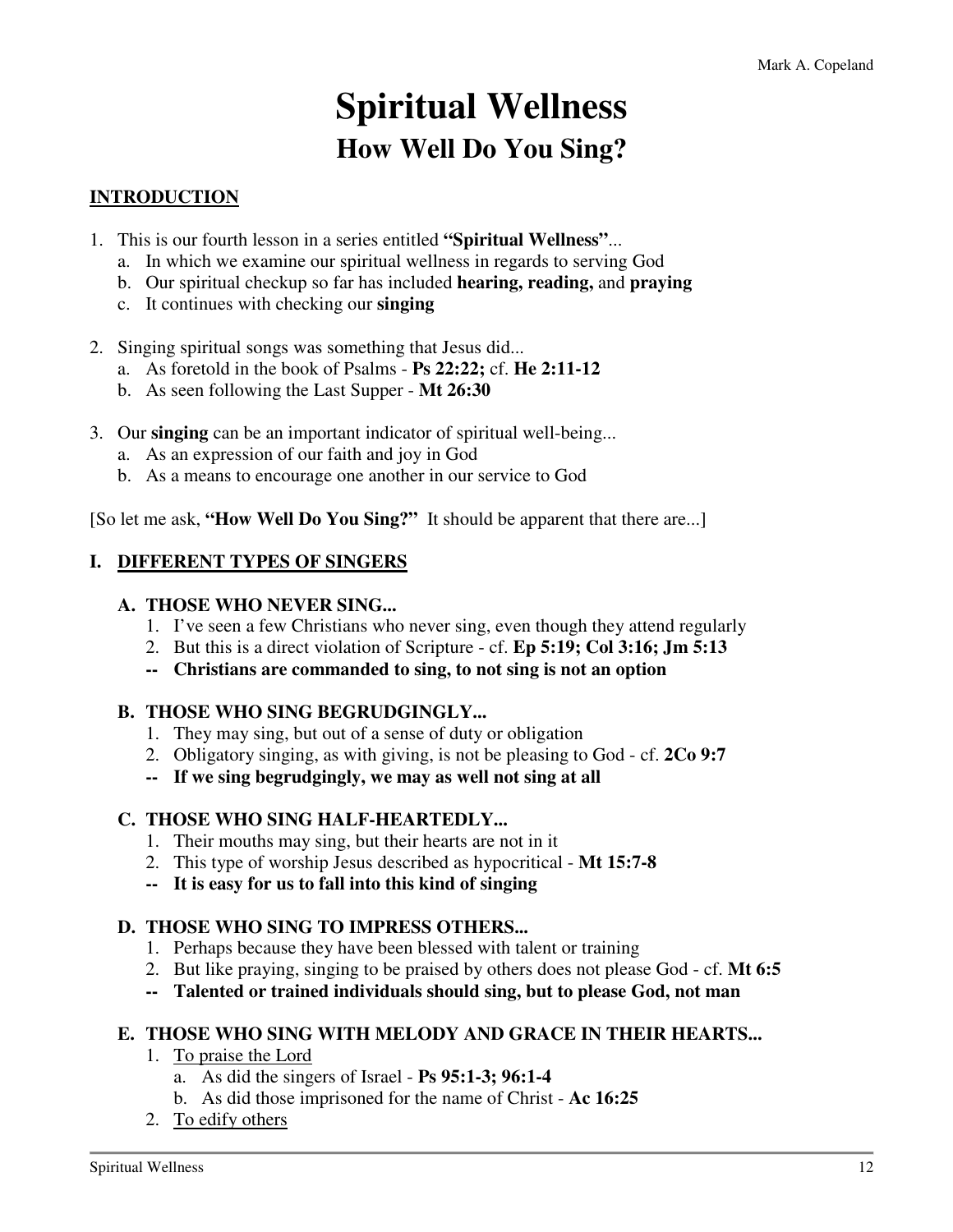# **Spiritual Wellness How Well Do You Sing?**

# **INTRODUCTION**

- 1. This is our fourth lesson in a series entitled **"Spiritual Wellness"**...
	- a. In which we examine our spiritual wellness in regards to serving God
	- b. Our spiritual checkup so far has included **hearing, reading,** and **praying**
	- c. It continues with checking our **singing**
- 2. Singing spiritual songs was something that Jesus did...
	- a. As foretold in the book of Psalms **Ps 22:22;** cf. **He 2:11-12**
	- b. As seen following the Last Supper **Mt 26:30**
- 3. Our **singing** can be an important indicator of spiritual well-being...
	- a. As an expression of our faith and joy in God
	- b. As a means to encourage one another in our service to God

[So let me ask, **"How Well Do You Sing?"** It should be apparent that there are...]

### **I. DIFFERENT TYPES OF SINGERS**

#### **A. THOSE WHO NEVER SING...**

- 1. I've seen a few Christians who never sing, even though they attend regularly
- 2. But this is a direct violation of Scripture cf. **Ep 5:19; Col 3:16; Jm 5:13**
- **-- Christians are commanded to sing, to not sing is not an option**

#### **B. THOSE WHO SING BEGRUDGINGLY...**

- 1. They may sing, but out of a sense of duty or obligation
- 2. Obligatory singing, as with giving, is not be pleasing to God cf. **2Co 9:7**
- **-- If we sing begrudgingly, we may as well not sing at all**

#### **C. THOSE WHO SING HALF-HEARTEDLY...**

- 1. Their mouths may sing, but their hearts are not in it
- 2. This type of worship Jesus described as hypocritical **Mt 15:7-8**
- **-- It is easy for us to fall into this kind of singing**

#### **D. THOSE WHO SING TO IMPRESS OTHERS...**

- 1. Perhaps because they have been blessed with talent or training
- 2. But like praying, singing to be praised by others does not please God cf. **Mt 6:5**
- **-- Talented or trained individuals should sing, but to please God, not man**

#### **E. THOSE WHO SING WITH MELODY AND GRACE IN THEIR HEARTS...**

- 1. To praise the Lord
	- a. As did the singers of Israel **Ps 95:1-3; 96:1-4**
	- b. As did those imprisoned for the name of Christ **Ac 16:25**
- 2. To edify others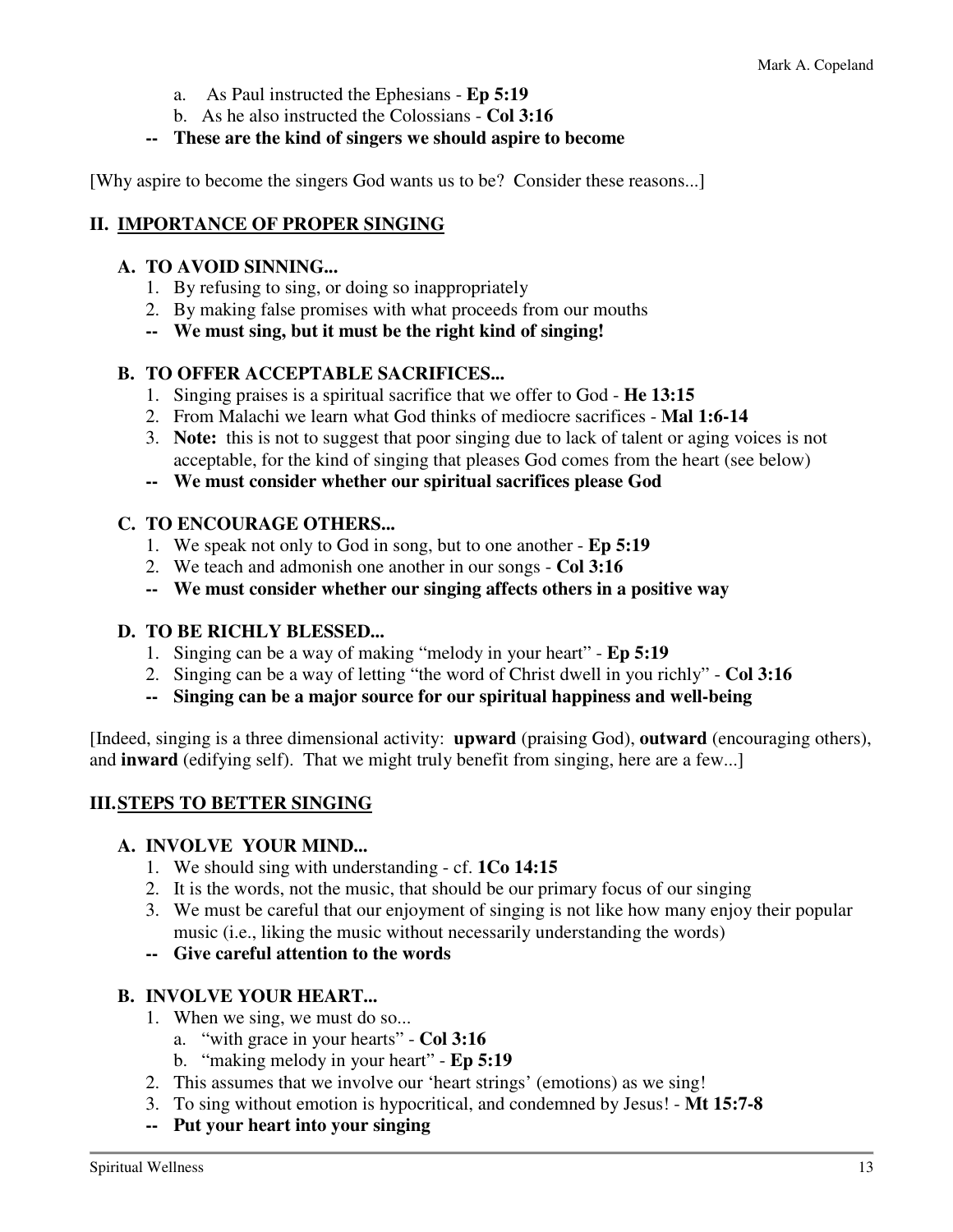- a. As Paul instructed the Ephesians **Ep 5:19**
- b. As he also instructed the Colossians **Col 3:16**

#### **-- These are the kind of singers we should aspire to become**

[Why aspire to become the singers God wants us to be? Consider these reasons...]

### **II. IMPORTANCE OF PROPER SINGING**

#### **A. TO AVOID SINNING...**

- 1. By refusing to sing, or doing so inappropriately
- 2. By making false promises with what proceeds from our mouths
- **-- We must sing, but it must be the right kind of singing!**

#### **B. TO OFFER ACCEPTABLE SACRIFICES...**

- 1. Singing praises is a spiritual sacrifice that we offer to God **He 13:15**
- 2. From Malachi we learn what God thinks of mediocre sacrifices **Mal 1:6-14**
- 3. **Note:** this is not to suggest that poor singing due to lack of talent or aging voices is not acceptable, for the kind of singing that pleases God comes from the heart (see below)
- **-- We must consider whether our spiritual sacrifices please God**

#### **C. TO ENCOURAGE OTHERS...**

- 1. We speak not only to God in song, but to one another **Ep 5:19**
- 2. We teach and admonish one another in our songs **Col 3:16**
- **-- We must consider whether our singing affects others in a positive way**

#### **D. TO BE RICHLY BLESSED...**

- 1. Singing can be a way of making "melody in your heart" **Ep 5:19**
- 2. Singing can be a way of letting "the word of Christ dwell in you richly" **Col 3:16**
- **-- Singing can be a major source for our spiritual happiness and well-being**

[Indeed, singing is a three dimensional activity: **upward** (praising God), **outward** (encouraging others), and **inward** (edifying self). That we might truly benefit from singing, here are a few...]

#### **III. STEPS TO BETTER SINGING**

#### **A. INVOLVE YOUR MIND...**

- 1. We should sing with understanding cf. **1Co 14:15**
- 2. It is the words, not the music, that should be our primary focus of our singing
- 3. We must be careful that our enjoyment of singing is not like how many enjoy their popular music (i.e., liking the music without necessarily understanding the words)
- **-- Give careful attention to the words**

#### **B. INVOLVE YOUR HEART...**

- 1. When we sing, we must do so...
	- a. "with grace in your hearts" **Col 3:16**
	- b. "making melody in your heart" **Ep 5:19**
- 2. This assumes that we involve our 'heart strings' (emotions) as we sing!
- 3. To sing without emotion is hypocritical, and condemned by Jesus! **Mt 15:7-8**
- **-- Put your heart into your singing**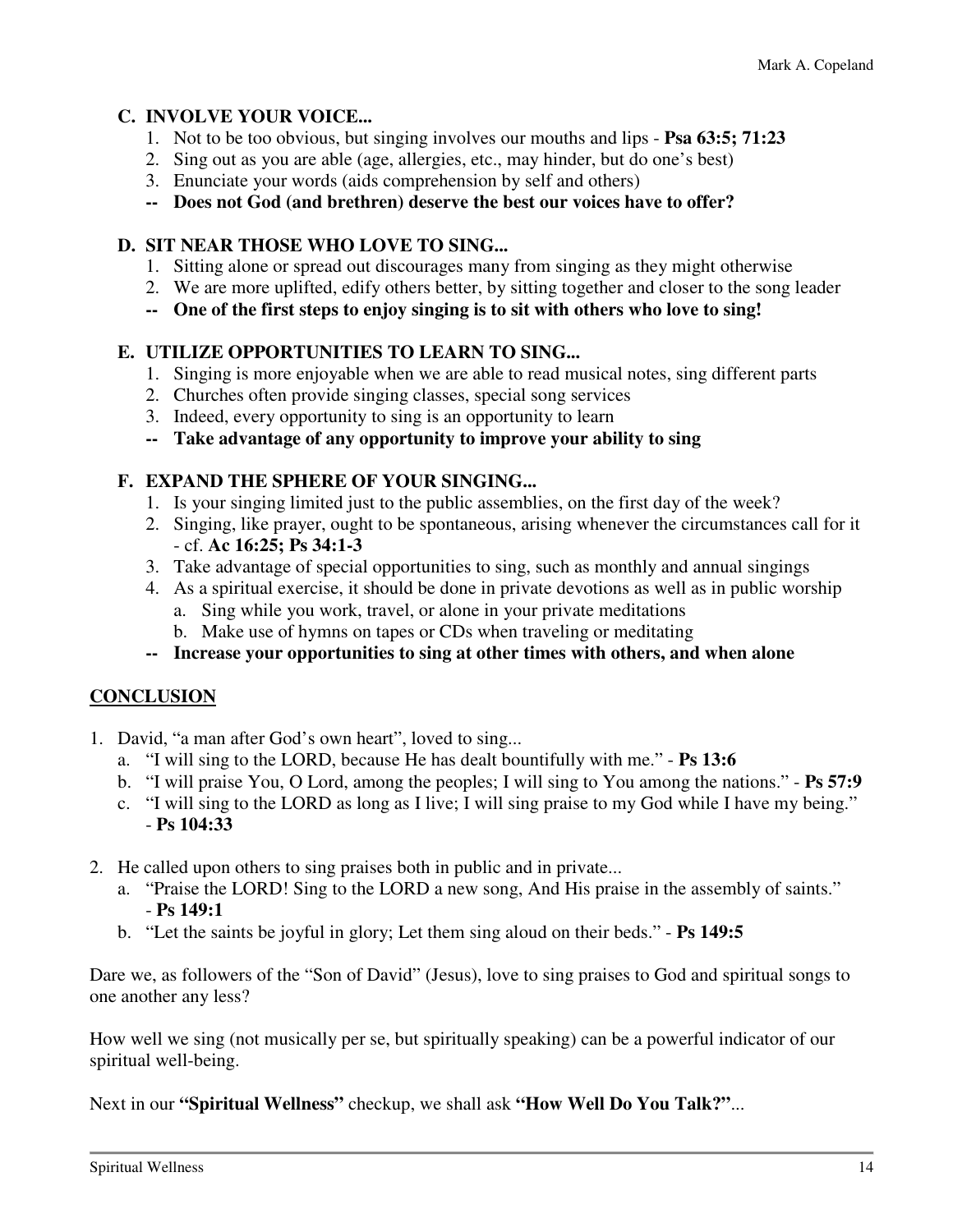# **C. INVOLVE YOUR VOICE...**

- 1. Not to be too obvious, but singing involves our mouths and lips **Psa 63:5; 71:23**
- 2. Sing out as you are able (age, allergies, etc., may hinder, but do one's best)
- 3. Enunciate your words (aids comprehension by self and others)
- **-- Does not God (and brethren) deserve the best our voices have to offer?**

# **D. SIT NEAR THOSE WHO LOVE TO SING...**

- 1. Sitting alone or spread out discourages many from singing as they might otherwise
- 2. We are more uplifted, edify others better, by sitting together and closer to the song leader
- **-- One of the first steps to enjoy singing is to sit with others who love to sing!**

# **E. UTILIZE OPPORTUNITIES TO LEARN TO SING...**

- 1. Singing is more enjoyable when we are able to read musical notes, sing different parts
- 2. Churches often provide singing classes, special song services
- 3. Indeed, every opportunity to sing is an opportunity to learn
- **-- Take advantage of any opportunity to improve your ability to sing**

# **F. EXPAND THE SPHERE OF YOUR SINGING...**

- 1. Is your singing limited just to the public assemblies, on the first day of the week?
- 2. Singing, like prayer, ought to be spontaneous, arising whenever the circumstances call for it - cf. **Ac 16:25; Ps 34:1-3**
- 3. Take advantage of special opportunities to sing, such as monthly and annual singings
- 4. As a spiritual exercise, it should be done in private devotions as well as in public worship a. Sing while you work, travel, or alone in your private meditations
	- b. Make use of hymns on tapes or CDs when traveling or meditating
- **-- Increase your opportunities to sing at other times with others, and when alone**

# **CONCLUSION**

- 1. David, "a man after God's own heart", loved to sing...
	- a. "I will sing to the LORD, because He has dealt bountifully with me." **Ps 13:6**
	- b. "I will praise You, O Lord, among the peoples; I will sing to You among the nations." **Ps 57:9**
	- c. "I will sing to the LORD as long as I live; I will sing praise to my God while I have my being." - **Ps 104:33**
- 2. He called upon others to sing praises both in public and in private...
	- a. "Praise the LORD! Sing to the LORD a new song, And His praise in the assembly of saints." - **Ps 149:1**
	- b. "Let the saints be joyful in glory; Let them sing aloud on their beds." **Ps 149:5**

Dare we, as followers of the "Son of David" (Jesus), love to sing praises to God and spiritual songs to one another any less?

How well we sing (not musically per se, but spiritually speaking) can be a powerful indicator of our spiritual well-being.

Next in our **"Spiritual Wellness"** checkup, we shall ask **"How Well Do You Talk?"**...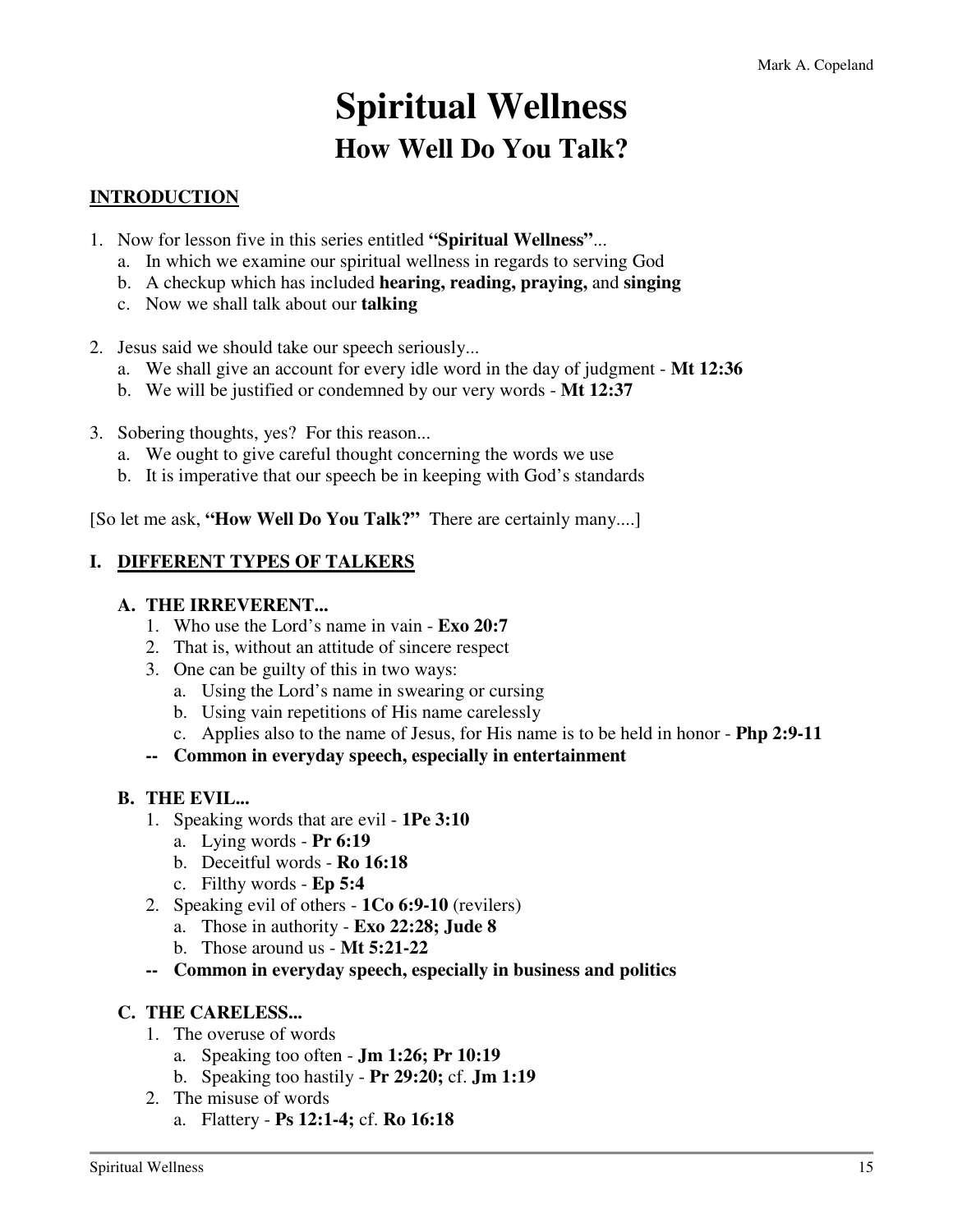# **Spiritual Wellness How Well Do You Talk?**

# **INTRODUCTION**

- 1. Now for lesson five in this series entitled **"Spiritual Wellness"**...
	- a. In which we examine our spiritual wellness in regards to serving God
	- b. A checkup which has included **hearing, reading, praying,** and **singing**
	- c. Now we shall talk about our **talking**
- 2. Jesus said we should take our speech seriously...
	- a. We shall give an account for every idle word in the day of judgment **Mt 12:36**
	- b. We will be justified or condemned by our very words **Mt 12:37**
- 3. Sobering thoughts, yes? For this reason...
	- a. We ought to give careful thought concerning the words we use
	- b. It is imperative that our speech be in keeping with God's standards

[So let me ask, **"How Well Do You Talk?"** There are certainly many....]

#### **I. DIFFERENT TYPES OF TALKERS**

#### **A. THE IRREVERENT...**

- 1. Who use the Lord's name in vain **Exo 20:7**
- 2. That is, without an attitude of sincere respect
- 3. One can be guilty of this in two ways:
	- a. Using the Lord's name in swearing or cursing
	- b. Using vain repetitions of His name carelessly
	- c. Applies also to the name of Jesus, for His name is to be held in honor **Php 2:9-11**
- **-- Common in everyday speech, especially in entertainment**

#### **B. THE EVIL...**

- 1. Speaking words that are evil **1Pe 3:10**
	- a. Lying words **Pr 6:19**
	- b. Deceitful words **Ro 16:18**
	- c. Filthy words **Ep 5:4**
- 2. Speaking evil of others **1Co 6:9-10** (revilers)
	- a. Those in authority **Exo 22:28; Jude 8**
	- b. Those around us **Mt 5:21-22**
- **-- Common in everyday speech, especially in business and politics**

#### **C. THE CARELESS...**

- 1. The overuse of words
	- a. Speaking too often **Jm 1:26; Pr 10:19**
	- b. Speaking too hastily **Pr 29:20;** cf. **Jm 1:19**
- 2. The misuse of words
	- a. Flattery **Ps 12:1-4;** cf. **Ro 16:18**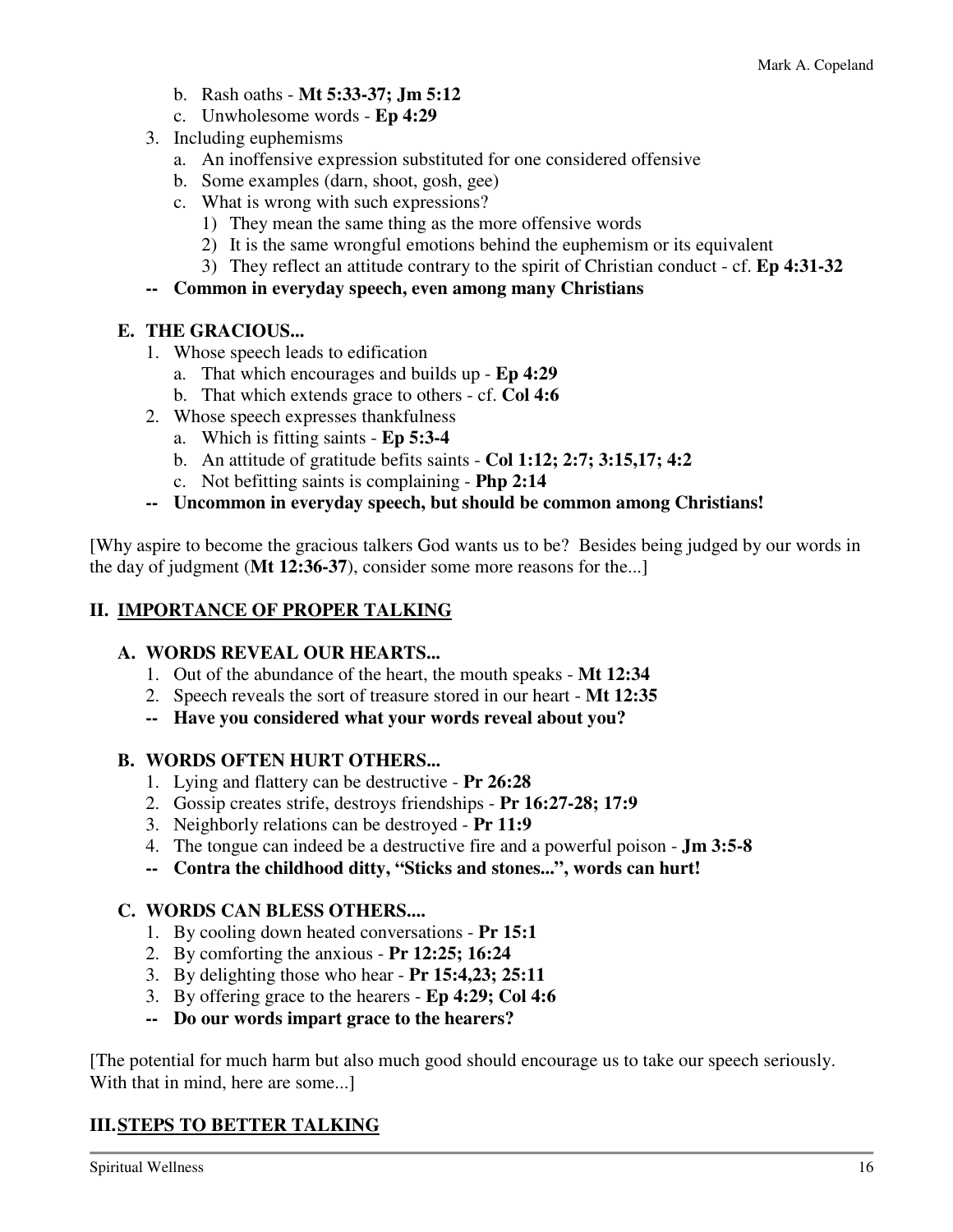- b. Rash oaths **Mt 5:33-37; Jm 5:12**
- c. Unwholesome words **Ep 4:29**
- 3. Including euphemisms
	- a. An inoffensive expression substituted for one considered offensive
	- b. Some examples (darn, shoot, gosh, gee)
	- c. What is wrong with such expressions?
		- 1) They mean the same thing as the more offensive words
		- 2) It is the same wrongful emotions behind the euphemism or its equivalent
		- 3) They reflect an attitude contrary to the spirit of Christian conduct cf. **Ep 4:31-32**

### **-- Common in everyday speech, even among many Christians**

# **E. THE GRACIOUS...**

- 1. Whose speech leads to edification
	- a. That which encourages and builds up **Ep 4:29**
	- b. That which extends grace to others cf. **Col 4:6**
- 2. Whose speech expresses thankfulness
	- a. Which is fitting saints **Ep 5:3-4**
	- b. An attitude of gratitude befits saints **Col 1:12; 2:7; 3:15,17; 4:2**
	- c. Not befitting saints is complaining **Php 2:14**
- **-- Uncommon in everyday speech, but should be common among Christians!**

[Why aspire to become the gracious talkers God wants us to be? Besides being judged by our words in the day of judgment (**Mt 12:36-37**), consider some more reasons for the...]

# **II. IMPORTANCE OF PROPER TALKING**

# **A. WORDS REVEAL OUR HEARTS...**

- 1. Out of the abundance of the heart, the mouth speaks **Mt 12:34**
- 2. Speech reveals the sort of treasure stored in our heart **Mt 12:35**
- **-- Have you considered what your words reveal about you?**

# **B. WORDS OFTEN HURT OTHERS...**

- 1. Lying and flattery can be destructive **Pr 26:28**
- 2. Gossip creates strife, destroys friendships **Pr 16:27-28; 17:9**
- 3. Neighborly relations can be destroyed **Pr 11:9**
- 4. The tongue can indeed be a destructive fire and a powerful poison **Jm 3:5-8**
- **-- Contra the childhood ditty, "Sticks and stones...", words can hurt!**

# **C. WORDS CAN BLESS OTHERS....**

- 1. By cooling down heated conversations **Pr 15:1**
- 2. By comforting the anxious **Pr 12:25; 16:24**
- 3. By delighting those who hear **Pr 15:4,23; 25:11**
- 3. By offering grace to the hearers **Ep 4:29; Col 4:6**
- **-- Do our words impart grace to the hearers?**

[The potential for much harm but also much good should encourage us to take our speech seriously. With that in mind, here are some...

# **III. STEPS TO BETTER TALKING**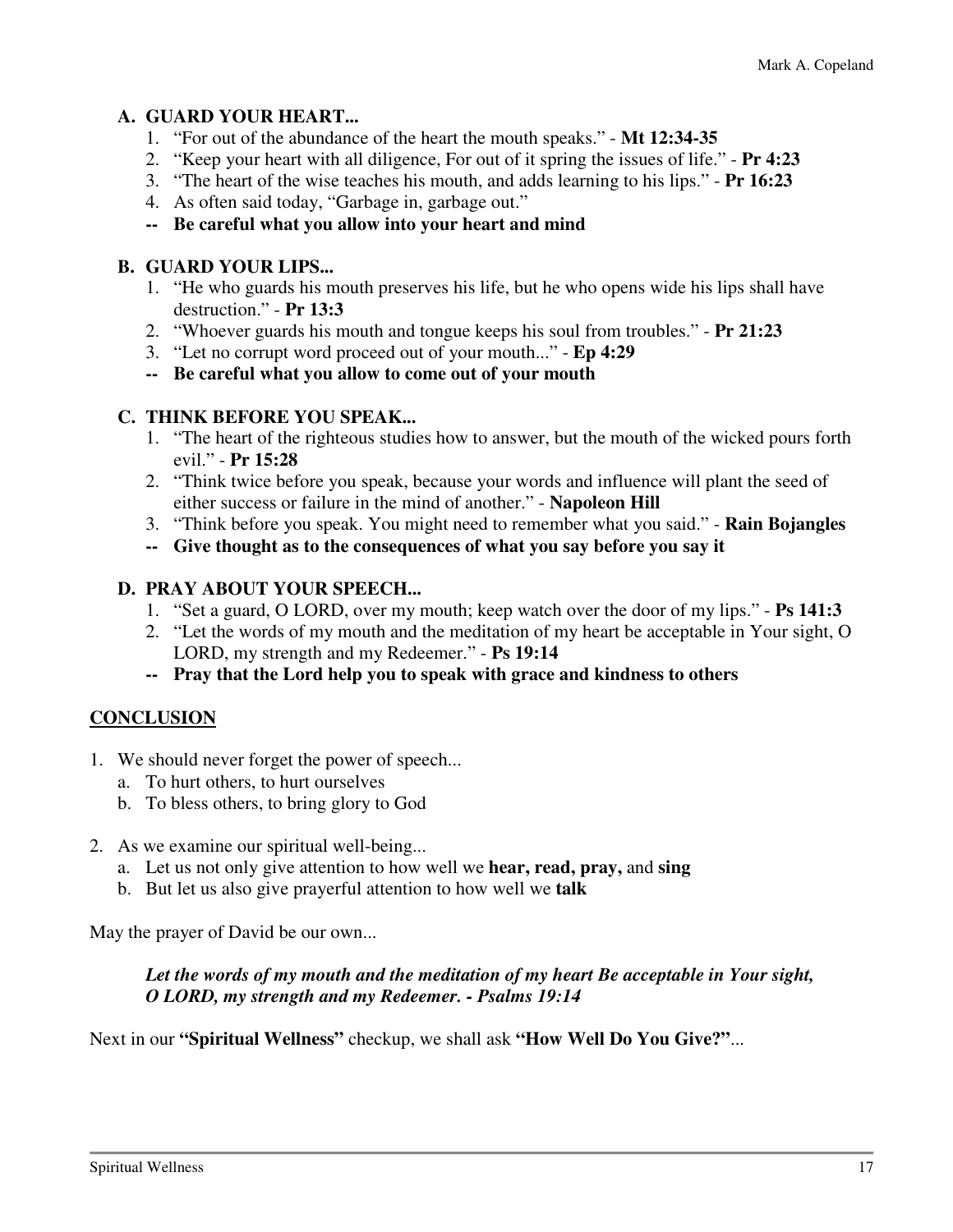### **A. GUARD YOUR HEART...**

- 1. "For out of the abundance of the heart the mouth speaks." **Mt 12:34-35**
- 2. "Keep your heart with all diligence, For out of it spring the issues of life." **Pr 4:23**
- 3. "The heart of the wise teaches his mouth, and adds learning to his lips." **Pr 16:23**
- 4. As often said today, "Garbage in, garbage out."

### **-- Be careful what you allow into your heart and mind**

### **B. GUARD YOUR LIPS...**

- 1. "He who guards his mouth preserves his life, but he who opens wide his lips shall have destruction." - **Pr 13:3**
- 2. "Whoever guards his mouth and tongue keeps his soul from troubles." **Pr 21:23**
- 3. "Let no corrupt word proceed out of your mouth..." **Ep 4:29**
- **-- Be careful what you allow to come out of your mouth**

### **C. THINK BEFORE YOU SPEAK...**

- 1. "The heart of the righteous studies how to answer, but the mouth of the wicked pours forth evil." - **Pr 15:28**
- 2. "Think twice before you speak, because your words and influence will plant the seed of either success or failure in the mind of another." - **Napoleon Hill**
- 3. "Think before you speak. You might need to remember what you said." **Rain Bojangles**
- **-- Give thought as to the consequences of what you say before you say it**

# **D. PRAY ABOUT YOUR SPEECH...**

- 1. "Set a guard, O LORD, over my mouth; keep watch over the door of my lips." **Ps 141:3**
- 2. "Let the words of my mouth and the meditation of my heart be acceptable in Your sight, O LORD, my strength and my Redeemer." - **Ps 19:14**
- **-- Pray that the Lord help you to speak with grace and kindness to others**

# **CONCLUSION**

- 1. We should never forget the power of speech...
	- a. To hurt others, to hurt ourselves
	- b. To bless others, to bring glory to God
- 2. As we examine our spiritual well-being...
	- a. Let us not only give attention to how well we **hear, read, pray,** and **sing**
	- b. But let us also give prayerful attention to how well we **talk**

May the prayer of David be our own...

# *Let the words of my mouth and the meditation of my heart Be acceptable in Your sight, O LORD, my strength and my Redeemer. - Psalms 19:14*

Next in our **"Spiritual Wellness"** checkup, we shall ask **"How Well Do You Give?"**...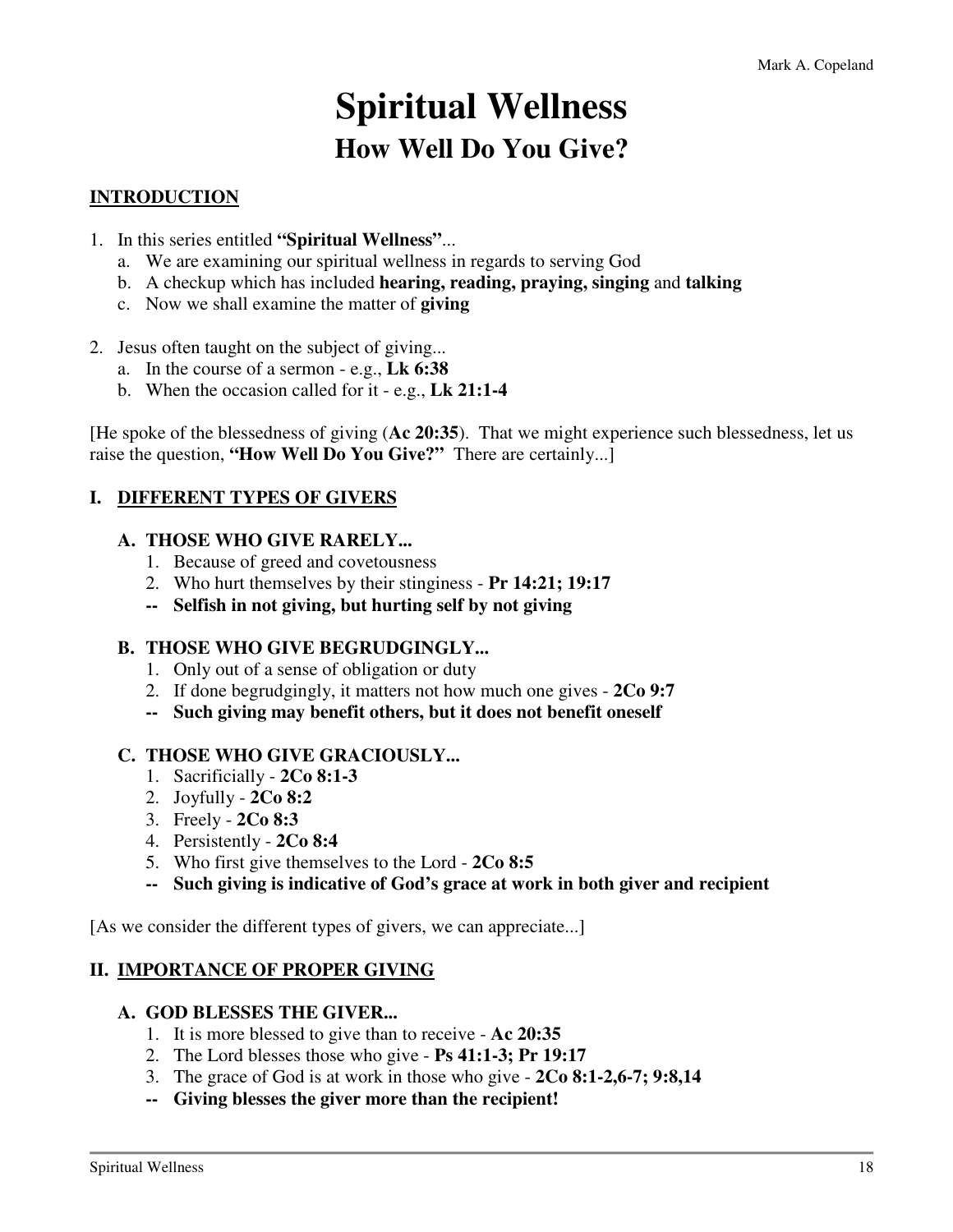# **Spiritual Wellness How Well Do You Give?**

# **INTRODUCTION**

- 1. In this series entitled **"Spiritual Wellness"**...
	- a. We are examining our spiritual wellness in regards to serving God
	- b. A checkup which has included **hearing, reading, praying, singing** and **talking**
	- c. Now we shall examine the matter of **giving**
- 2. Jesus often taught on the subject of giving...
	- a. In the course of a sermon e.g., **Lk 6:38**
	- b. When the occasion called for it e.g., **Lk 21:1-4**

[He spoke of the blessedness of giving (**Ac 20:35**). That we might experience such blessedness, let us raise the question, **"How Well Do You Give?"** There are certainly...]

#### **I. DIFFERENT TYPES OF GIVERS**

#### **A. THOSE WHO GIVE RARELY...**

- 1. Because of greed and covetousness
- 2. Who hurt themselves by their stinginess **Pr 14:21; 19:17**
- **-- Selfish in not giving, but hurting self by not giving**

#### **B. THOSE WHO GIVE BEGRUDGINGLY...**

- 1. Only out of a sense of obligation or duty
- 2. If done begrudgingly, it matters not how much one gives **2Co 9:7**
- **-- Such giving may benefit others, but it does not benefit oneself**

#### **C. THOSE WHO GIVE GRACIOUSLY...**

- 1. Sacrificially **2Co 8:1-3**
- 2. Joyfully **2Co 8:2**
- 3. Freely **2Co 8:3**
- 4. Persistently **2Co 8:4**
- 5. Who first give themselves to the Lord **2Co 8:5**
- **-- Such giving is indicative of God's grace at work in both giver and recipient**

[As we consider the different types of givers, we can appreciate...]

#### **II. IMPORTANCE OF PROPER GIVING**

#### **A. GOD BLESSES THE GIVER...**

- 1. It is more blessed to give than to receive **Ac 20:35**
- 2. The Lord blesses those who give **Ps 41:1-3; Pr 19:17**
- 3. The grace of God is at work in those who give **2Co 8:1-2,6-7; 9:8,14**
- **-- Giving blesses the giver more than the recipient!**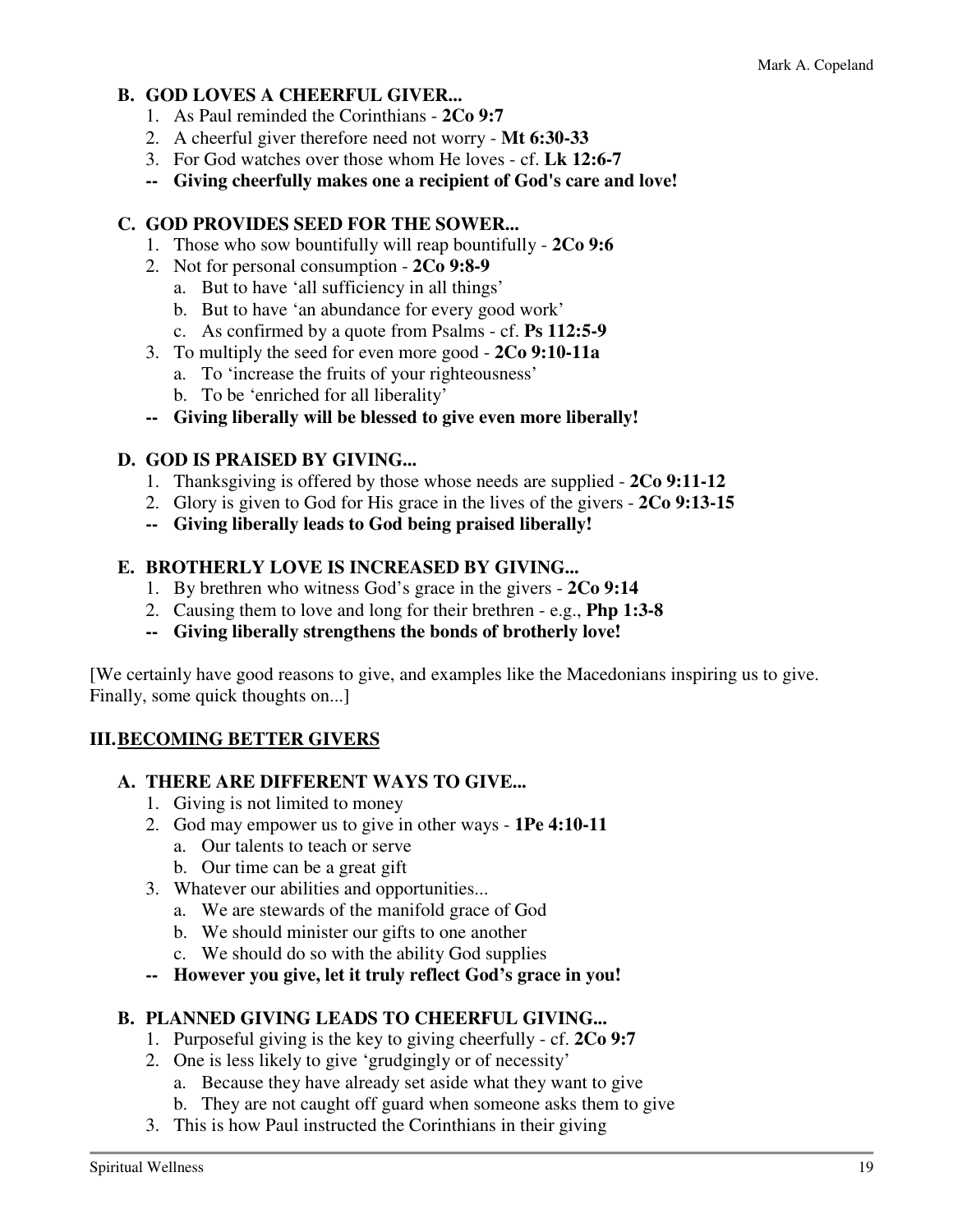### **B. GOD LOVES A CHEERFUL GIVER...**

- 1. As Paul reminded the Corinthians **2Co 9:7**
- 2. A cheerful giver therefore need not worry **Mt 6:30-33**
- 3. For God watches over those whom He loves cf. **Lk 12:6-7**
- **-- Giving cheerfully makes one a recipient of God's care and love!**

#### **C. GOD PROVIDES SEED FOR THE SOWER...**

- 1. Those who sow bountifully will reap bountifully **2Co 9:6**
- 2. Not for personal consumption **2Co 9:8-9**
	- a. But to have 'all sufficiency in all things'
	- b. But to have 'an abundance for every good work'
	- c. As confirmed by a quote from Psalms cf. **Ps 112:5-9**
- 3. To multiply the seed for even more good **2Co 9:10-11a**
	- a. To 'increase the fruits of your righteousness'
	- b. To be 'enriched for all liberality'
- **-- Giving liberally will be blessed to give even more liberally!**

#### **D. GOD IS PRAISED BY GIVING...**

- 1. Thanksgiving is offered by those whose needs are supplied **2Co 9:11-12**
- 2. Glory is given to God for His grace in the lives of the givers **2Co 9:13-15**
- **-- Giving liberally leads to God being praised liberally!**

#### **E. BROTHERLY LOVE IS INCREASED BY GIVING...**

- 1. By brethren who witness God's grace in the givers **2Co 9:14**
- 2. Causing them to love and long for their brethren e.g., **Php 1:3-8**
- **-- Giving liberally strengthens the bonds of brotherly love!**

[We certainly have good reasons to give, and examples like the Macedonians inspiring us to give. Finally, some quick thoughts on...]

#### **III. BECOMING BETTER GIVERS**

#### **A. THERE ARE DIFFERENT WAYS TO GIVE...**

- 1. Giving is not limited to money
- 2. God may empower us to give in other ways **1Pe 4:10-11**
	- a. Our talents to teach or serve
	- b. Our time can be a great gift
- 3. Whatever our abilities and opportunities...
	- a. We are stewards of the manifold grace of God
	- b. We should minister our gifts to one another
	- c. We should do so with the ability God supplies
- **-- However you give, let it truly reflect God's grace in you!**

#### **B. PLANNED GIVING LEADS TO CHEERFUL GIVING...**

- 1. Purposeful giving is the key to giving cheerfully cf. **2Co 9:7**
- 2. One is less likely to give 'grudgingly or of necessity'
	- a. Because they have already set aside what they want to give
	- b. They are not caught off guard when someone asks them to give
- 3. This is how Paul instructed the Corinthians in their giving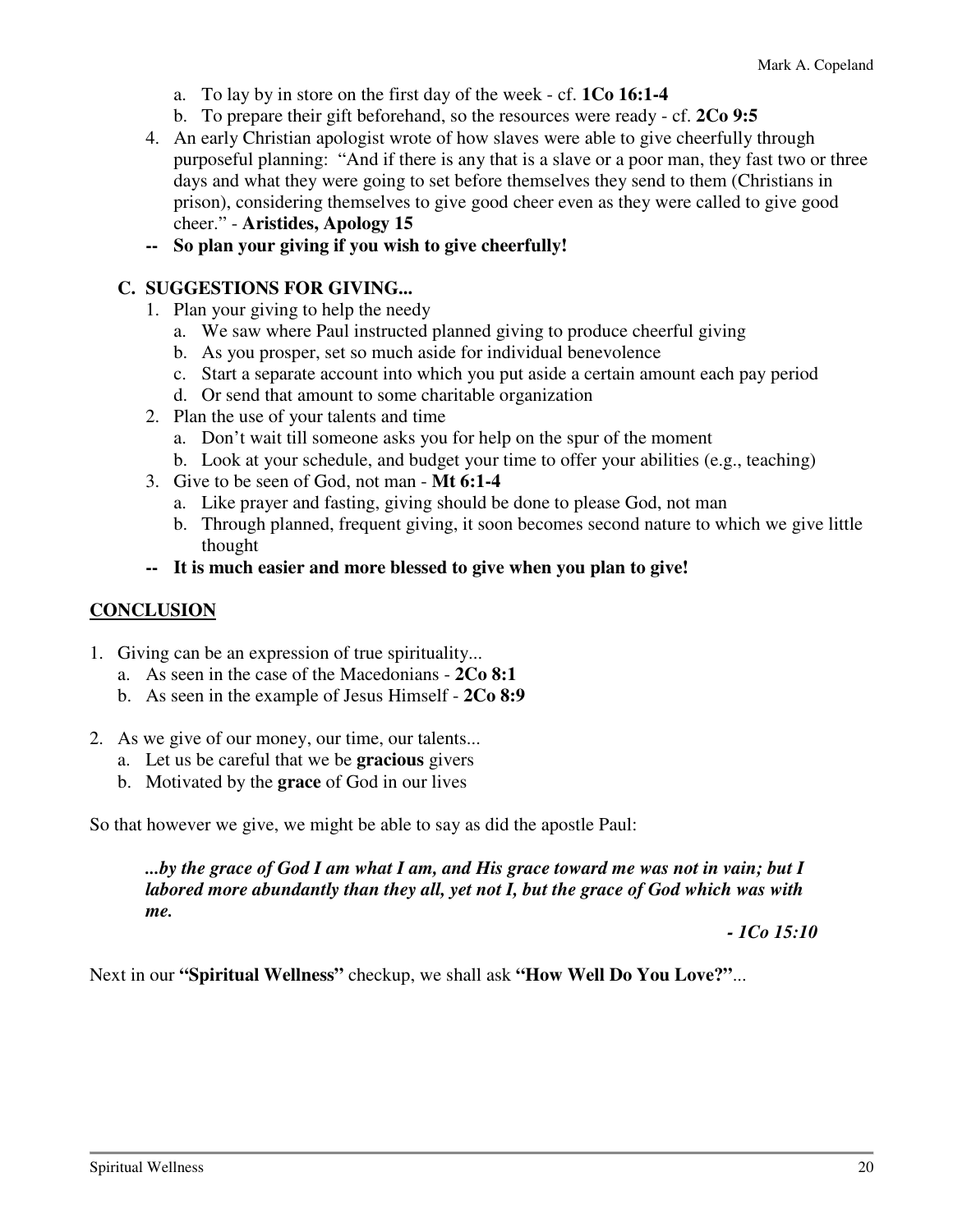- a. To lay by in store on the first day of the week cf. **1Co 16:1-4**
- b. To prepare their gift beforehand, so the resources were ready cf. **2Co 9:5**
- 4. An early Christian apologist wrote of how slaves were able to give cheerfully through purposeful planning: "And if there is any that is a slave or a poor man, they fast two or three days and what they were going to set before themselves they send to them (Christians in prison), considering themselves to give good cheer even as they were called to give good cheer." - **Aristides, Apology 15**
- **-- So plan your giving if you wish to give cheerfully!**

#### **C. SUGGESTIONS FOR GIVING...**

- 1. Plan your giving to help the needy
	- a. We saw where Paul instructed planned giving to produce cheerful giving
	- b. As you prosper, set so much aside for individual benevolence
	- c. Start a separate account into which you put aside a certain amount each pay period
	- d. Or send that amount to some charitable organization
- 2. Plan the use of your talents and time
	- a. Don't wait till someone asks you for help on the spur of the moment
	- b. Look at your schedule, and budget your time to offer your abilities (e.g., teaching)
- 3. Give to be seen of God, not man **Mt 6:1-4**
	- a. Like prayer and fasting, giving should be done to please God, not man
	- b. Through planned, frequent giving, it soon becomes second nature to which we give little thought
- **-- It is much easier and more blessed to give when you plan to give!**

#### **CONCLUSION**

- 1. Giving can be an expression of true spirituality...
	- a. As seen in the case of the Macedonians **2Co 8:1**
	- b. As seen in the example of Jesus Himself **2Co 8:9**
- 2. As we give of our money, our time, our talents...
	- a. Let us be careful that we be **gracious** givers
	- b. Motivated by the **grace** of God in our lives

So that however we give, we might be able to say as did the apostle Paul:

*...by the grace of God I am what I am, and His grace toward me was not in vain; but I labored more abundantly than they all, yet not I, but the grace of God which was with me.* 

*- 1Co 15:10* 

Next in our **"Spiritual Wellness"** checkup, we shall ask **"How Well Do You Love?"**...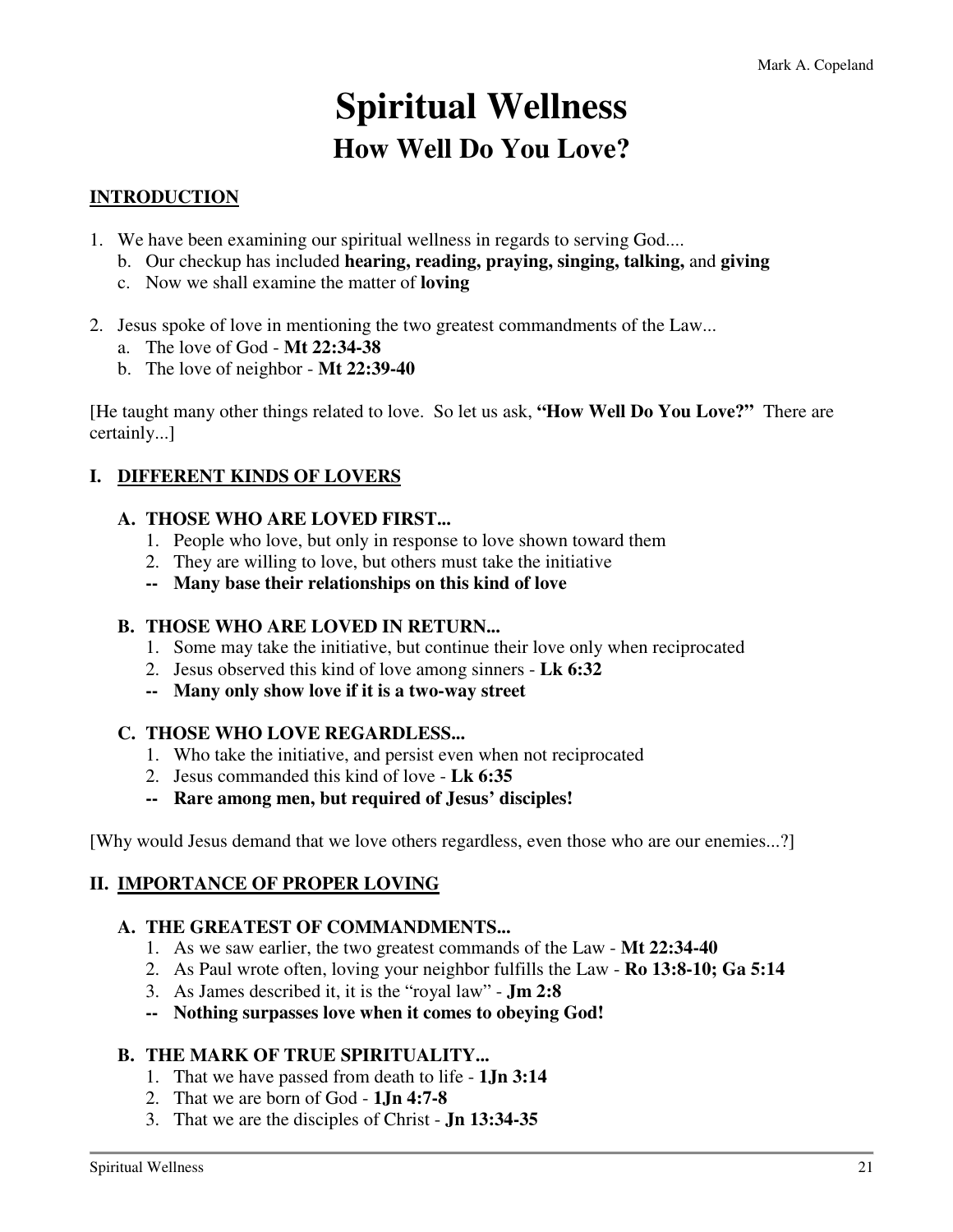# **Spiritual Wellness How Well Do You Love?**

# **INTRODUCTION**

- 1. We have been examining our spiritual wellness in regards to serving God....
	- b. Our checkup has included **hearing, reading, praying, singing, talking,** and **giving**
	- c. Now we shall examine the matter of **loving**
- 2. Jesus spoke of love in mentioning the two greatest commandments of the Law...
	- a. The love of God **Mt 22:34-38**
	- b. The love of neighbor **Mt 22:39-40**

[He taught many other things related to love. So let us ask, **"How Well Do You Love?"** There are certainly...]

### **I. DIFFERENT KINDS OF LOVERS**

#### **A. THOSE WHO ARE LOVED FIRST...**

- 1. People who love, but only in response to love shown toward them
- 2. They are willing to love, but others must take the initiative
- **-- Many base their relationships on this kind of love**

#### **B. THOSE WHO ARE LOVED IN RETURN...**

- 1. Some may take the initiative, but continue their love only when reciprocated
- 2. Jesus observed this kind of love among sinners **Lk 6:32**
- **-- Many only show love if it is a two-way street**

#### **C. THOSE WHO LOVE REGARDLESS...**

- 1. Who take the initiative, and persist even when not reciprocated
- 2. Jesus commanded this kind of love **Lk 6:35**
- **-- Rare among men, but required of Jesus' disciples!**

[Why would Jesus demand that we love others regardless, even those who are our enemies...?]

#### **II. IMPORTANCE OF PROPER LOVING**

#### **A. THE GREATEST OF COMMANDMENTS...**

- 1. As we saw earlier, the two greatest commands of the Law **Mt 22:34-40**
- 2. As Paul wrote often, loving your neighbor fulfills the Law **Ro 13:8-10; Ga 5:14**
- 3. As James described it, it is the "royal law" **Jm 2:8**

 **-- Nothing surpasses love when it comes to obeying God!** 

#### **B. THE MARK OF TRUE SPIRITUALITY...**

- 1. That we have passed from death to life **1Jn 3:14**
- 2. That we are born of God **1Jn 4:7-8**
- 3. That we are the disciples of Christ **Jn 13:34-35**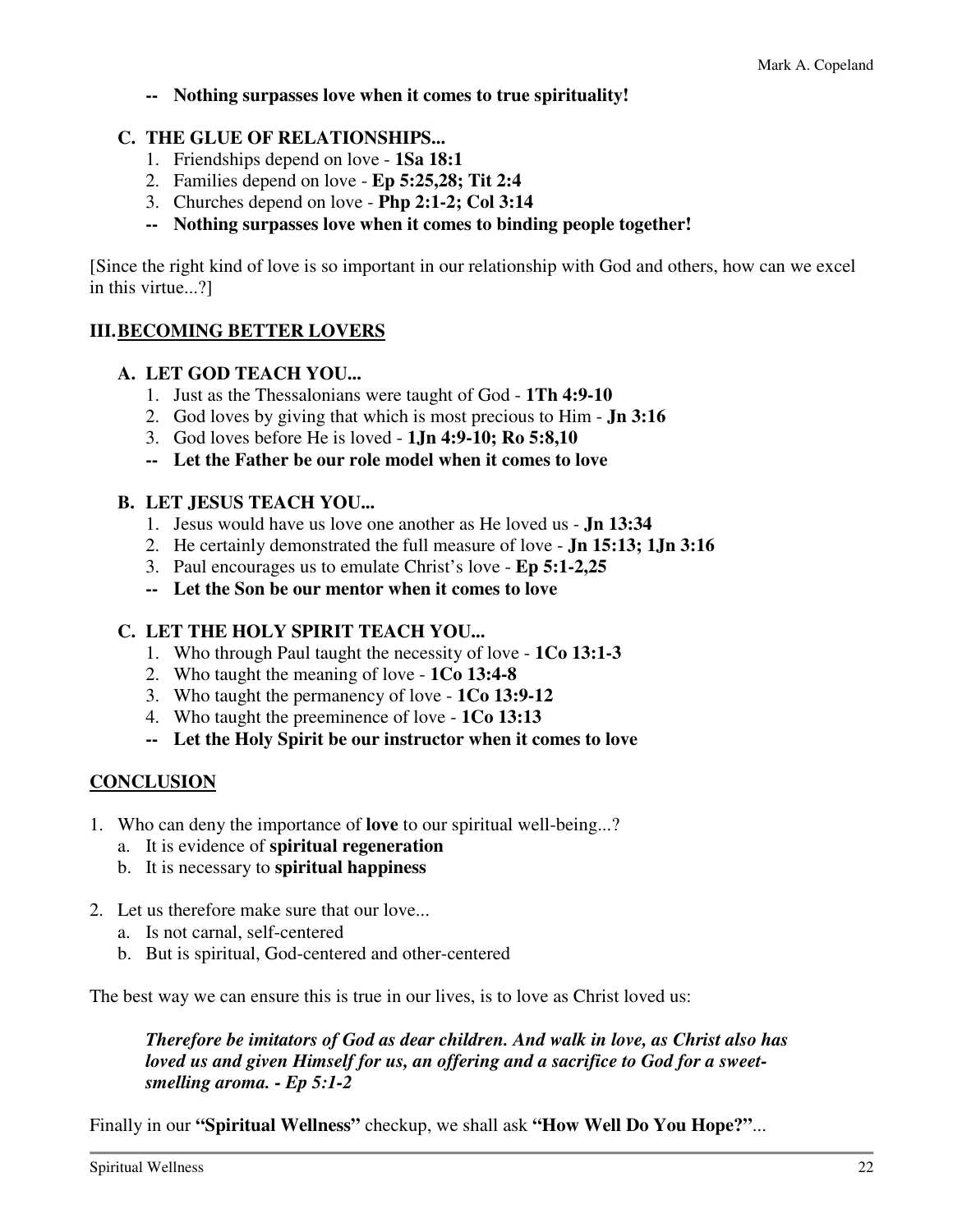**-- Nothing surpasses love when it comes to true spirituality!** 

#### **C. THE GLUE OF RELATIONSHIPS...**

- 1. Friendships depend on love **1Sa 18:1**
- 2. Families depend on love **Ep 5:25,28; Tit 2:4**
- 3. Churches depend on love **Php 2:1-2; Col 3:14**
- **-- Nothing surpasses love when it comes to binding people together!**

[Since the right kind of love is so important in our relationship with God and others, how can we excel in this virtue...?]

#### **III. BECOMING BETTER LOVERS**

#### **A. LET GOD TEACH YOU...**

- 1. Just as the Thessalonians were taught of God **1Th 4:9-10**
- 2. God loves by giving that which is most precious to Him **Jn 3:16**
- 3. God loves before He is loved **1Jn 4:9-10; Ro 5:8,10**
- **-- Let the Father be our role model when it comes to love**

#### **B. LET JESUS TEACH YOU...**

- 1. Jesus would have us love one another as He loved us **Jn 13:34**
- 2. He certainly demonstrated the full measure of love **Jn 15:13; 1Jn 3:16**
- 3. Paul encourages us to emulate Christ's love **Ep 5:1-2,25**
- **-- Let the Son be our mentor when it comes to love**

#### **C. LET THE HOLY SPIRIT TEACH YOU...**

- 1. Who through Paul taught the necessity of love **1Co 13:1-3**
- 2. Who taught the meaning of love **1Co 13:4-8**
- 3. Who taught the permanency of love **1Co 13:9-12**
- 4. Who taught the preeminence of love **1Co 13:13**
- **-- Let the Holy Spirit be our instructor when it comes to love**

#### **CONCLUSION**

- 1. Who can deny the importance of **love** to our spiritual well-being...?
	- a. It is evidence of **spiritual regeneration**
	- b. It is necessary to **spiritual happiness**
- 2. Let us therefore make sure that our love...
	- a. Is not carnal, self-centered
	- b. But is spiritual, God-centered and other-centered

The best way we can ensure this is true in our lives, is to love as Christ loved us:

*Therefore be imitators of God as dear children. And walk in love, as Christ also has loved us and given Himself for us, an offering and a sacrifice to God for a sweetsmelling aroma. - Ep 5:1-2* 

Finally in our **"Spiritual Wellness"** checkup, we shall ask **"How Well Do You Hope?"**...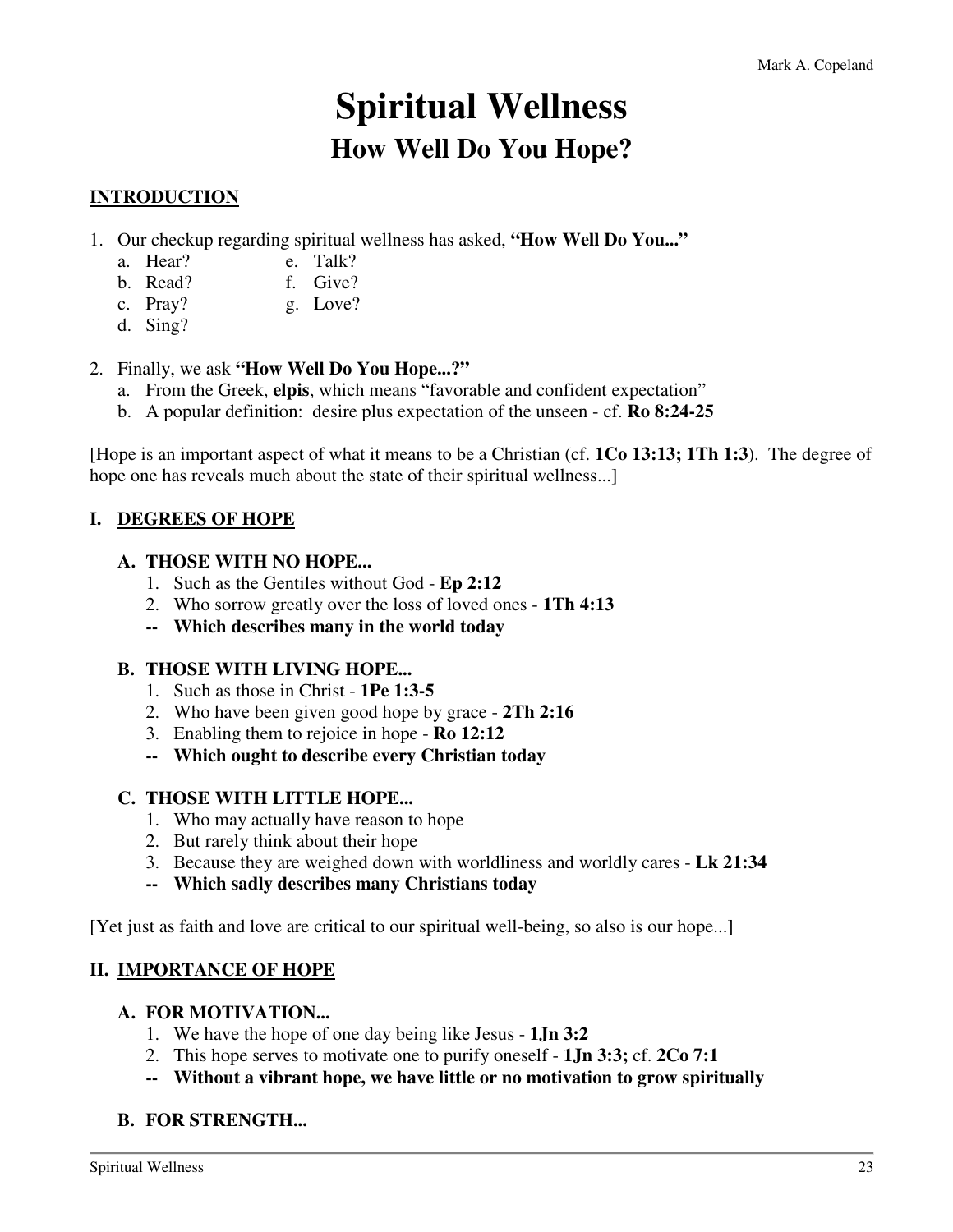# **Spiritual Wellness How Well Do You Hope?**

# **INTRODUCTION**

- 1. Our checkup regarding spiritual wellness has asked, **"How Well Do You..."**
	- a. Hear? e. Talk?
	- b. Read? f. Give?
	- c. Pray? g. Love?
	- d. Sing?

2. Finally, we ask **"How Well Do You Hope...?"**

- a. From the Greek, **elpis**, which means "favorable and confident expectation"
- b. A popular definition: desire plus expectation of the unseen cf. **Ro 8:24-25**

[Hope is an important aspect of what it means to be a Christian (cf. **1Co 13:13; 1Th 1:3**). The degree of hope one has reveals much about the state of their spiritual wellness...]

### **I. DEGREES OF HOPE**

#### **A. THOSE WITH NO HOPE...**

- 1. Such as the Gentiles without God **Ep 2:12**
- 2. Who sorrow greatly over the loss of loved ones **1Th 4:13**
- **-- Which describes many in the world today**

#### **B. THOSE WITH LIVING HOPE...**

- 1. Such as those in Christ **1Pe 1:3-5**
- 2. Who have been given good hope by grace **2Th 2:16**
- 3. Enabling them to rejoice in hope **Ro 12:12**
- **-- Which ought to describe every Christian today**
- **C. THOSE WITH LITTLE HOPE...** 
	- 1. Who may actually have reason to hope
	- 2. But rarely think about their hope
	- 3. Because they are weighed down with worldliness and worldly cares **Lk 21:34**
	- **-- Which sadly describes many Christians today**

[Yet just as faith and love are critical to our spiritual well-being, so also is our hope...]

#### **II. IMPORTANCE OF HOPE**

#### **A. FOR MOTIVATION...**

- 1. We have the hope of one day being like Jesus **1Jn 3:2**
- 2. This hope serves to motivate one to purify oneself **1Jn 3:3;** cf. **2Co 7:1**
- **-- Without a vibrant hope, we have little or no motivation to grow spiritually**

#### **B. FOR STRENGTH...**